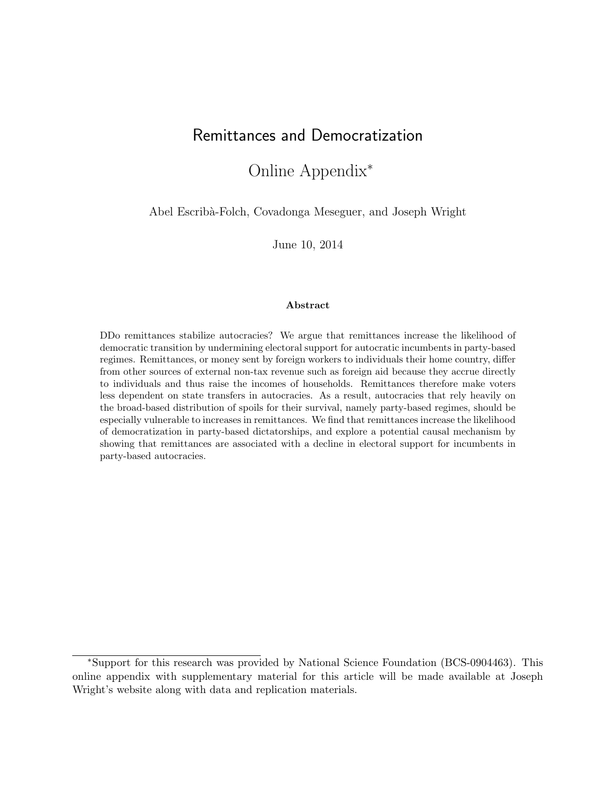# Remittances and Democratization

## Online Appendix<sup>∗</sup>

Abel Escribà-Folch, Covadonga Meseguer, and Joseph Wright

June 10, 2014

#### Abstract

DDo remittances stabilize autocracies? We argue that remittances increase the likelihood of democratic transition by undermining electoral support for autocratic incumbents in party-based regimes. Remittances, or money sent by foreign workers to individuals their home country, differ from other sources of external non-tax revenue such as foreign aid because they accrue directly to individuals and thus raise the incomes of households. Remittances therefore make voters less dependent on state transfers in autocracies. As a result, autocracies that rely heavily on the broad-based distribution of spoils for their survival, namely party-based regimes, should be especially vulnerable to increases in remittances. We find that remittances increase the likelihood of democratization in party-based dictatorships, and explore a potential causal mechanism by showing that remittances are associated with a decline in electoral support for incumbents in party-based autocracies.

<sup>∗</sup>Support for this research was provided by National Science Foundation (BCS-0904463). This online appendix with supplementary material for this article will be made available at Joseph Wright's website along with data and replication materials.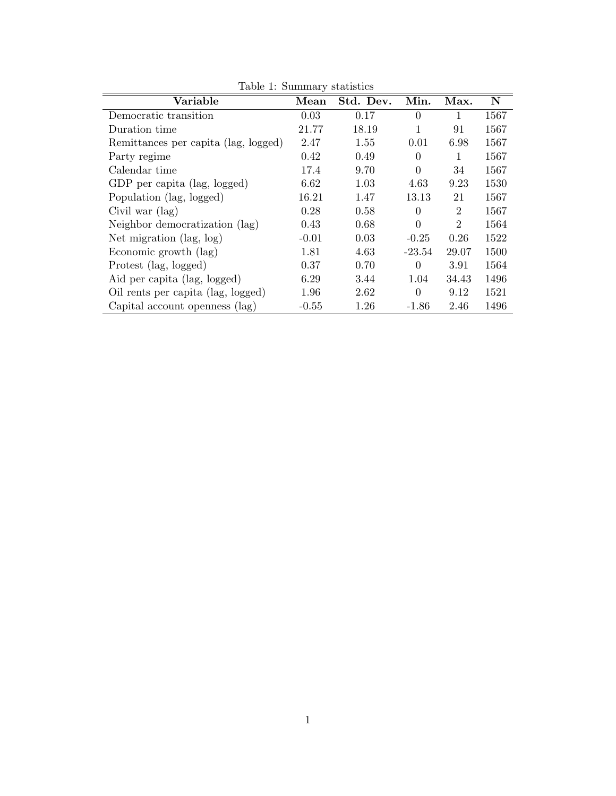| Lable 1. Dullillar y Statistics      |         |           |                |                |             |
|--------------------------------------|---------|-----------|----------------|----------------|-------------|
| Variable                             | Mean    | Std. Dev. | Min.           | Max.           | $\mathbf N$ |
| Democratic transition                | 0.03    | 0.17      | $\theta$       | 1              | 1567        |
| Duration time                        | 21.77   | 18.19     | 1              | 91             | 1567        |
| Remittances per capita (lag, logged) | 2.47    | 1.55      | 0.01           | 6.98           | 1567        |
| Party regime                         | 0.42    | 0.49      | $\theta$       | 1              | 1567        |
| Calendar time                        | 17.4    | 9.70      | $\overline{0}$ | 34             | 1567        |
| GDP per capita (lag, logged)         | 6.62    | 1.03      | 4.63           | 9.23           | 1530        |
| Population (lag, logged)             | 16.21   | 1.47      | 13.13          | 21             | 1567        |
| Civil war $(\text{lag})$             | 0.28    | 0.58      | $\Omega$       | $\overline{2}$ | 1567        |
| Neighbor democratization (lag)       | 0.43    | 0.68      | $\overline{0}$ | $\overline{2}$ | 1564        |
| Net migration (lag, log)             | $-0.01$ | 0.03      | $-0.25$        | 0.26           | 1522        |
| Economic growth (lag)                | 1.81    | 4.63      | $-23.54$       | 29.07          | 1500        |
| Protest (lag, logged)                | 0.37    | 0.70      | $\Omega$       | 3.91           | 1564        |
| Aid per capita (lag, logged)         | 6.29    | 3.44      | 1.04           | 34.43          | 1496        |
| Oil rents per capita (lag, logged)   | 1.96    | 2.62      | $\theta$       | 9.12           | 1521        |
| Capital account openness (lag)       | $-0.55$ | 1.26      | $-1.86$        | 2.46           | 1496        |

Table 1: Summary statistics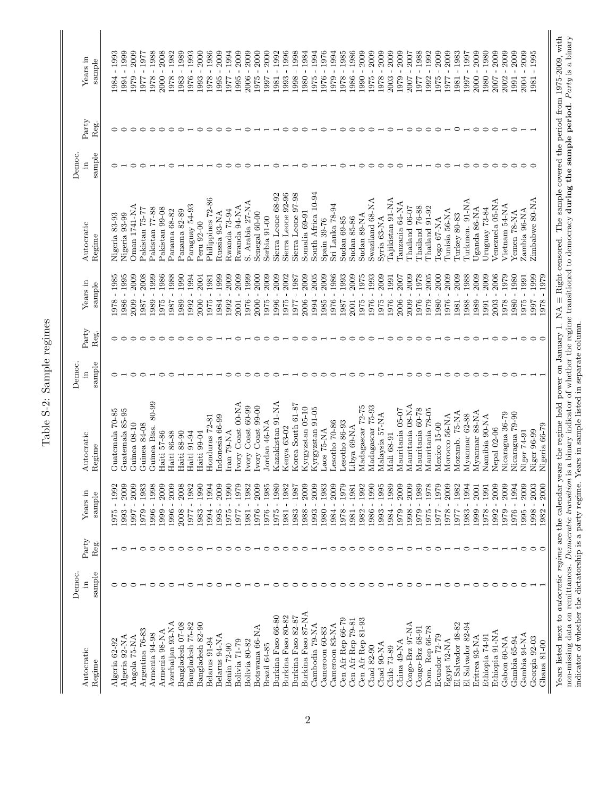| くどうしょ                      |
|----------------------------|
| o roma<br>l<br>Č           |
| م<br>تا                    |
| a<br>a<br>$\bar{\pi}$<br>ī |

| Autocratic         | Democ.<br>Ξ | ${\rm Party}$ | Years in            | Autocratic              | Democ  | ${\rm Party}$ | Years in                       | Autocratic         | Democ.    | Party | Years in                                 |
|--------------------|-------------|---------------|---------------------|-------------------------|--------|---------------|--------------------------------|--------------------|-----------|-------|------------------------------------------|
| Regime             | sample      | Reg.          | sample              | Regime                  | sample | Reg.          | sample                         | Regime             | sample    | Reg.  | sample                                   |
| Algeria 62-92      |             |               | $-1992$<br>1975     | Guatemala 70-85         |        |               | 1985<br>$\overline{1}$<br>1978 | Nigeria 83-93      |           |       | 1993<br>$\mathbf{I}$<br>1984             |
| Algeria 92-NA      |             |               | $-2009$<br>1993     | Guatemala 85-95         |        |               | $-1995$<br>1986                | Nigeria 93-99      |           |       | $-1999$<br>1994                          |
| Angola 75-NA       |             |               | $-2009$<br>1997     | Guinea 08-10            |        |               | 2009<br>2009                   | Oman 1741-NA       |           |       | 2009<br>1979                             |
| Argentina 76-83    |             |               | $-1983$<br>1979     | Guinea 84-08            |        |               | 2008<br>1987                   | Pakistan 75-77     |           |       | $-1977$<br>1977                          |
| Armenia 94-98      |             |               | $-1998$<br>1996     | Guinea Biss. 80-99      |        |               | 1999<br>1989                   | Pakistan 77-88     |           |       | $-1988$<br>1978                          |
| Armenia 98-NA      |             |               | 2009<br>1999        | Haiti 57-86             |        |               | 1986<br>1975                   | Pakistan 99-08     |           |       | 2008<br>2000                             |
| Azerbaijan 93-NA   |             |               | 2009<br>1996        | 86-88<br>Haiti          |        |               | 1988<br>1887                   | Panama 68-82       |           |       | 1982<br>1978                             |
| Bangladesh 07-08   |             |               | 2008<br>2008        | Haiti 88-90             |        |               | 1990<br>1989                   | Panama 82-89       |           |       | 1989<br>1983                             |
| Bangladesh 75-82   |             |               | 1982<br>1761        | Haiti 91-94             |        |               | 1994<br>1992                   | Paraguay 54-93     |           |       | 1993<br>1976                             |
| Bangladesh 82-90   |             |               | 0661<br>1983        | Haiti 99-04             |        |               | 2004<br>2000                   | Peru 92-00         |           |       | 2000<br>1993                             |
| Belarus 91-94      |             |               | 1994<br>1994        | Honduras 72-81          |        |               | 1981<br>1975                   | Philippines 72-86  |           |       | 1986<br>$\mathbf{I}$<br>1978             |
| Belarus 94-NA      |             |               | 2009<br>1995        | ndonesia 66-99          |        |               | 1999<br>1984                   | Russia 93-NA       |           |       | 2009<br>1995                             |
| Benin 72-90        |             |               | 1990<br>1975        | ran 79-NA               |        |               | 2009<br>1992                   | Rwanda 73-94       |           |       | $-1994$<br>1761                          |
| Bolivia 71-79      |             |               | 1979<br>1977        | vory Coast 00-NA        |        |               | 2009<br>2001                   | Rwanda 94-NA       |           |       | 2009<br>1995                             |
| Bolivia 80-82      |             |               | 1982<br>1981        | vory Coast 60-99        |        |               | 1999<br>1976                   | S. Arabia 27-NA    |           |       | 2009<br>2006                             |
| Botswana 66-NA     |             |               | 2009<br>1976        | vory Coast 99-00        |        |               | 2000<br>2000                   | Senegal 60-00      |           |       | 2000<br>1975                             |
| Brazil 64-85       |             |               | 1985<br>1976        | Jordan 46-NA            |        |               | 2009<br>1975                   | Serbia 91-00       |           |       | 2000<br>1997                             |
| Burkina Faso 66-80 |             |               | 1980<br>1975        | Kazakhstan 91-NA        |        |               | 2009<br>1996                   | Sierra Leone 68-92 |           |       | 1992<br>1981                             |
| Burkina Faso 80-82 |             |               | 1982<br>1981        | Kenya 63-02             |        |               | 2002<br>975                    | Sierra Leone 92-96 |           |       | 1996<br>1993                             |
| Burkina Faso 82-87 |             |               | 1987<br>1983        | Korea South 61-87       |        |               | 1987<br>$\mathbf{I}$<br>1977   | Sierra Leone 97-98 |           |       | 1998<br>1998                             |
| Burkina Faso 87-NA |             |               | 2009<br>1988        | <b>Kyrgyzstan</b> 05-10 |        |               | 2009<br>2006                   | Somalia 69-91      |           |       | 1984<br>1980                             |
| Cambodia 79-NA     |             |               | $-2009$<br>1993     | Kyrgyzstan 91-05        |        |               | 2005<br>1994                   | South Africa 10-94 |           |       | 1994<br>1975                             |
| Cameroon 60-83     |             |               | $-1983$<br>1980     | AN-57 zoac              |        |               | 2009<br>1985                   | Spain 39-76        |           |       | 1976<br>1976                             |
| Cameroon 83-NA     |             |               | $-2009$<br>1984     | Jesotho 70-86           |        |               | 1986<br>1976                   | Sri Lanka 78-94    |           |       | 1994<br>1979                             |
| Cen Afr Rep 66-79  |             |               | 1979<br>1978        | esotho 86-93            |        |               | 1993<br>1987                   | <b>Sudan 69-85</b> |           |       | 1985<br>1978                             |
| Cen Afr Rep 79-81  |             |               | 1981<br>1981        | Libya 69-NA             |        |               | 2009<br>2001                   | Sudan 85-86        |           |       | 1986<br>1986                             |
| Cen Afr Rep 81-93  |             |               | 1992<br>1982        | Madagascar 72-75        |        |               | 1975<br>1975                   | Sudan 89-NA        |           |       | 2009<br>1990                             |
| Chad 82-90         |             |               | 1990<br>1986        | Madagascar 75-93        |        |               | 1993<br>1976                   | Swaziland 68-NA    |           |       | 2009<br>1975                             |
| Chad 90-NA         |             |               | 1995<br>1993        | Malaysia 57-NA          |        |               | 2009<br>1975                   | Syria 63-NA        |           |       | 2009<br>1978                             |
| Chile 73-89        |             |               | 1989<br>1984        | Mali 68-91              |        |               | 1991<br>1976                   | Tajikistan 91-NA   |           |       | 2009<br>2003                             |
| China 49-NA        |             |               | $-2009$<br>1979     | Mauritania 05-07        |        |               | $2007$<br>2006                 | Tanzania 64-NA     |           |       | 2009<br>1979                             |
| Congo-Brz 97-NA    |             |               | 2009<br>1998        | Mauritania 08-NA        |        |               | 2009<br>2009                   | Thailand 06-07     |           |       | 2007<br>2007                             |
| Congo-Brz 68-91    |             |               | 1989<br>1979        | Mauritania 60-78        |        |               | 1978<br>1976                   | Thailand 76-88     |           |       | 1988<br>$\bar{1}$<br>1977                |
| Dom. Rep 66-78     |             |               | 1978<br>1975        | Mauritania 78-05        |        |               | 2005<br>1979                   | Thailand 91-92     |           |       | 1992<br>$\overline{1}$<br>1992           |
| Ecuador 72-79      |             |               | 1979<br>1977        | Mexico 15-00            |        |               | 2000<br>$\overline{1}$<br>1980 | Togo 67-NA         |           |       | 2009<br>$\overline{1}$<br>1975           |
| Egypt 52-NA        |             |               | 2009<br>1978        | Morocco 56-NA           |        |               | 2009<br>1976                   | Tunisia 56-NA      |           |       | 2009<br>1977                             |
| El Salvador 48-82  |             |               | 1982<br>1977        | Mozamb. 75-NA           |        |               | 2009<br>1981                   | Turkey 80-83       |           |       | 1983<br>$\overline{1}$<br>1981           |
| El Salvador 82-94  |             |               | 1994<br>1983        | Myanmar 62-88           |        |               | 1988<br>1988                   | Turkmen. 91-NA     |           |       | 1997<br>1997                             |
| Eritrea 93-NA      |             |               | <b>2001</b><br>1999 | Myanmar 88-NA           |        |               | 2009<br>1989                   | Jganda 86-NA       |           |       | 2009<br>$\overline{\phantom{a}}$<br>2000 |
| Ethiopia 74-91     |             |               | 1991<br>1978        | Namibia 90-NA           |        |               | 2009<br>1991                   | Uruguay 73-84      |           |       | 1980<br>$\mathbf{I}$<br>1980             |
| Ethiopia 91-NA     |             |               | 2009<br>1992        | <b>Vepal 02-06</b>      |        |               | 2006<br>2003                   | Venezuela 05-NA    |           |       | 2009<br>2007                             |
| Gabon 60-NA        |             |               | $-2009$<br>1979     | Nicaragua 36-79         |        |               | 1979<br>$\overline{1}$<br>1978 | Vietnam 54-NA      | ○         |       | 2009<br>2002                             |
| Gambia 65-94       |             |               | $-1994$<br>1976     | Nicaragua 79-90         |        |               | $-1980$<br>1980                | Yemen 78-NA        | $\subset$ |       | 2009<br>1991                             |
| Gambia 94-NA       |             |               | $-2009$<br>1995     | Niger 74-91             |        |               | $-1991$<br>1975                | Zambia 96-NA       | ⊂         |       | 2009<br>2004                             |
| Georgia 92-03      |             |               | $-2003$<br>1998     | Niger 96-99             |        |               | 1999<br>1997                   | Zimbabwe 80-NA     |           |       | 1995<br>$\mathbf{I}$<br>1981             |
| Ghana 81-00        |             |               | 1982 - 2000         | Nigeria 66-79           |        |               | 1979<br>1978                   |                    |           |       |                                          |
|                    |             |               |                     |                         |        |               |                                |                    |           |       |                                          |

Years listed next to *autocratic regime* are the calendar years the regime held power on January 1. NA = Right censored. The sample covered the period from 1975-2009, with non-missing data on remittances. *Democratic tran* Years listed next to *autocratic regime* are the calendar years the regime held power on January 1. NA ≡ Right censored. The sample covered the period from 1975-2009, with  $\ldots$  and  $\ldots$  it is also as the period from 197 non-missing data on remittances. *Democratic transition* is a binary indicator of whether the regime transitioned to democracy **during the sample period**. Party is a binary indicator of whether the dictatorship is a party regime. Years in sample listed in separate column.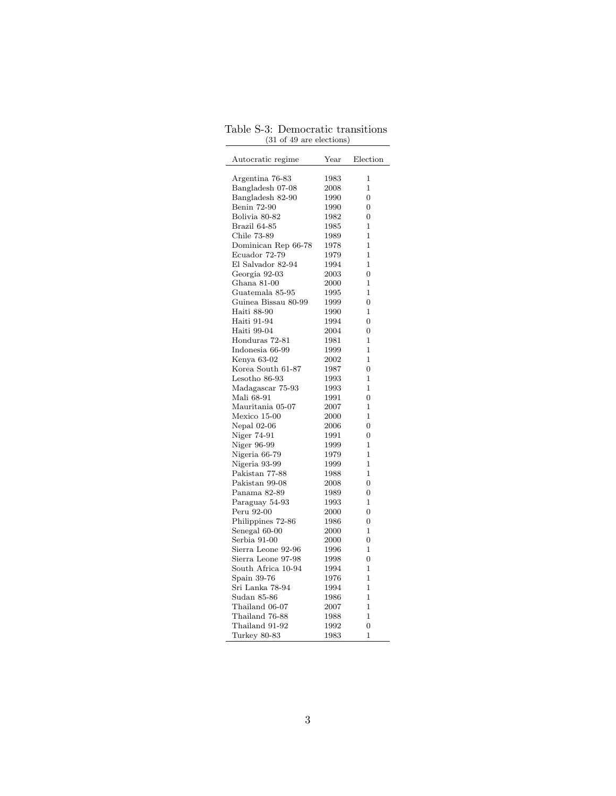| Autocratic regime   | Year | Election       |
|---------------------|------|----------------|
| Argentina 76-83     | 1983 | 1              |
| Bangladesh 07-08    | 2008 | 1              |
| Bangladesh 82-90    | 1990 | 0              |
| <b>Benin 72-90</b>  | 1990 | $\overline{0}$ |
| Bolivia 80-82       | 1982 | 0              |
| Brazil 64-85        | 1985 | 1              |
| Chile 73-89         | 1989 | 1              |
| Dominican Rep 66-78 | 1978 | 1              |
| Ecuador 72-79       | 1979 | 1              |
| El Salvador 82-94   | 1994 | $\mathbf{1}$   |
| Georgia 92-03       | 2003 | 0              |
| Ghana 81-00         | 2000 | 1              |
| Guatemala 85-95     | 1995 | 1              |
| Guinea Bissau 80-99 | 1999 | $\overline{0}$ |
| Haiti 88-90         | 1990 | $\mathbf{1}$   |
| Haiti 91-94         | 1994 | 0              |
| Haiti 99-04         | 2004 | 0              |
| Honduras 72-81      | 1981 | $\mathbf 1$    |
| Indonesia 66-99     | 1999 | $\mathbf{1}$   |
| Kenya 63-02         | 2002 | 1              |
| Korea South 61-87   | 1987 | 0              |
| Lesotho 86-93       | 1993 | 1              |
| Madagascar 75-93    | 1993 | 1              |
| Mali 68-91          | 1991 | $\overline{0}$ |
| Mauritania 05-07    | 2007 | $\mathbf 1$    |
| Mexico 15-00        | 2000 | $\mathbf{1}$   |
| Nepal $02-06$       | 2006 | 0              |
| Niger 74-91         | 1991 | 0              |
| Niger 96-99         | 1999 | 1              |
| Nigeria 66-79       | 1979 | $\mathbf{1}$   |
| Nigeria 93-99       | 1999 | $\mathbf 1$    |
| Pakistan 77-88      | 1988 | 1              |
| Pakistan 99-08      | 2008 | 0              |
| Panama 82-89        | 1989 | $\overline{0}$ |
| Paraguay 54-93      | 1993 | $\mathbf 1$    |
| Peru 92-00          | 2000 | $\overline{0}$ |
| Philippines 72-86   | 1986 | 0              |
| Senegal 60-00       | 2000 | 1              |
| Serbia 91-00        | 2000 | 0              |
| Sierra Leone 92-96  | 1996 | $\mathbf 1$    |
| Sierra Leone 97-98  | 1998 | $\overline{0}$ |
| South Africa 10-94  | 1994 | $\mathbf{1}$   |
| Spain 39-76         | 1976 | $\mathbf 1$    |
| Sri Lanka 78-94     | 1994 | 1              |
| Sudan 85-86         | 1986 | 1              |
| Thailand 06-07      | 2007 | 1              |
| Thailand 76-88      | 1988 | $\mathbf{1}$   |
| Thailand 91-92      | 1992 | 0              |
| Turkey 80-83        | 1983 | 1              |

Table S-3: Democratic transitions (31 of 49 are elections)  $\frac{1}{2}$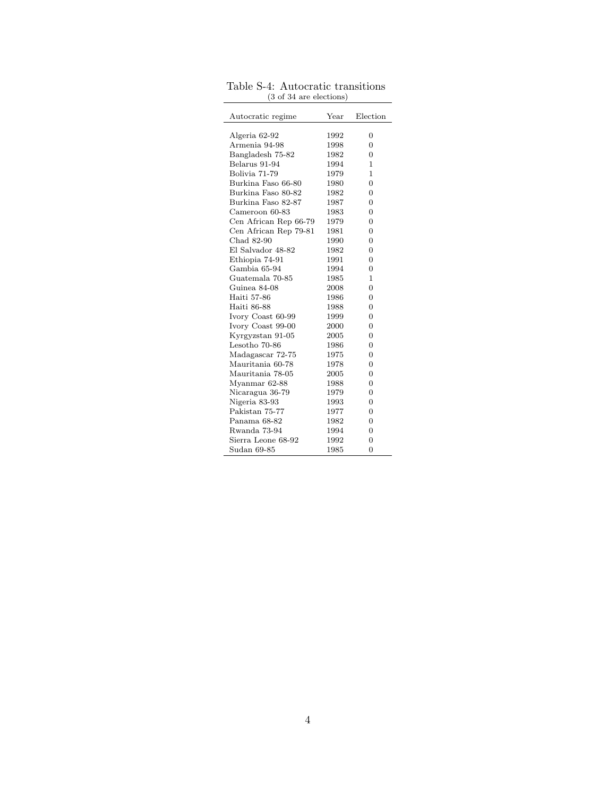| Autocratic regime     | Year | Election       |
|-----------------------|------|----------------|
|                       |      |                |
| Algeria 62-92         | 1992 | $\overline{0}$ |
| Armenia 94-98         | 1998 | $\overline{0}$ |
| Bangladesh 75-82      | 1982 | $\overline{0}$ |
| Belarus 91-94         | 1994 | 1              |
| Bolivia 71-79         | 1979 | 1              |
| Burkina Faso 66-80    | 1980 | $\Omega$       |
| Burkina Faso 80-82    | 1982 | $\overline{0}$ |
| Burkina Faso 82-87    | 1987 | $\overline{0}$ |
| Cameroon 60-83        | 1983 | $\overline{0}$ |
| Cen African Rep 66-79 | 1979 | $\Omega$       |
| Cen African Rep 79-81 | 1981 | $\overline{0}$ |
| Chad 82-90            | 1990 | $\overline{0}$ |
| El Salvador 48-82     | 1982 | $\overline{0}$ |
| Ethiopia 74-91        | 1991 | $\overline{0}$ |
| Gambia 65-94          | 1994 | $\overline{0}$ |
| Guatemala 70-85       | 1985 | 1              |
| Guinea 84-08          | 2008 | $\Omega$       |
| Haiti 57-86           | 1986 | $\overline{0}$ |
| Haiti 86-88           | 1988 | $\overline{0}$ |
| Ivory Coast 60-99     | 1999 | $\overline{0}$ |
| Ivory Coast 99-00     | 2000 | $\overline{0}$ |
| Kyrgyzstan 91-05      | 2005 | $\overline{0}$ |
| Lesotho 70-86         | 1986 | $\Omega$       |
| Madagascar 72-75      | 1975 | $\Omega$       |
| Mauritania 60-78      | 1978 | $\Omega$       |
| Mauritania 78-05      | 2005 | $\Omega$       |
| Myanmar 62-88         | 1988 | $\overline{0}$ |
| Nicaragua 36-79       | 1979 | $\overline{0}$ |
| Nigeria 83-93         | 1993 | $\overline{0}$ |
| Pakistan 75-77        | 1977 | $\overline{0}$ |
| Panama 68-82          | 1982 | $\Omega$       |
| Rwanda 73-94          | 1994 | $\Omega$       |
| Sierra Leone 68-92    | 1992 | $\overline{0}$ |
| Sudan 69-85           | 1985 | $\overline{0}$ |

Table S-4: Autocratic transitions (3 of 34 are elections)  $\overline{\phantom{a}}$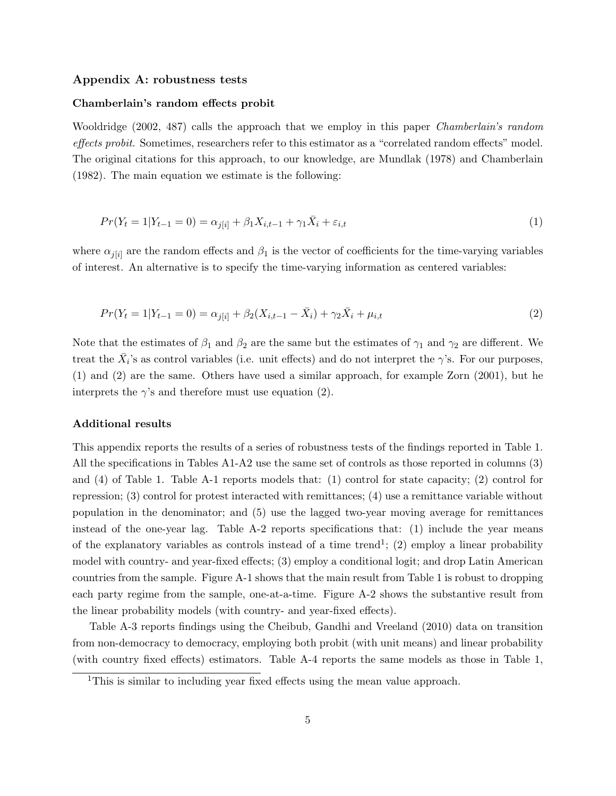#### Appendix A: robustness tests

#### Chamberlain's random effects probit

[Wooldridge](#page-33-0) [\(2002,](#page-33-0) 487) calls the approach that we employ in this paper *Chamberlain's random* effects probit. Sometimes, researchers refer to this estimator as a "correlated random effects" model. The original citations for this approach, to our knowledge, are [Mundlak](#page-33-1) [\(1978\)](#page-33-1) and [Chamberlain](#page-32-0) [\(1982\)](#page-32-0). The main equation we estimate is the following:

$$
Pr(Y_t = 1 | Y_{t-1} = 0) = \alpha_{j[i]} + \beta_1 X_{i,t-1} + \gamma_1 \bar{X}_i + \varepsilon_{i,t}
$$
\n<sup>(1)</sup>

where  $\alpha_{j[i]}$  are the random effects and  $\beta_1$  is the vector of coefficients for the time-varying variables of interest. An alternative is to specify the time-varying information as centered variables:

$$
Pr(Y_t = 1 | Y_{t-1} = 0) = \alpha_{j[i]} + \beta_2 (X_{i,t-1} - \bar{X}_i) + \gamma_2 \bar{X}_i + \mu_{i,t}
$$
\n(2)

Note that the estimates of  $\beta_1$  and  $\beta_2$  are the same but the estimates of  $\gamma_1$  and  $\gamma_2$  are different. We treat the  $\bar{X}_i$ 's as control variables (i.e. unit effects) and do not interpret the  $\gamma$ 's. For our purposes, (1) and (2) are the same. Others have used a similar approach, for example [Zorn](#page-33-2) [\(2001\)](#page-33-2), but he interprets the  $\gamma$ 's and therefore must use equation (2).

#### Additional results

This appendix reports the results of a series of robustness tests of the findings reported in Table 1. All the specifications in Tables A1-A2 use the same set of controls as those reported in columns (3) and (4) of Table 1. Table A-1 reports models that: (1) control for state capacity; (2) control for repression; (3) control for protest interacted with remittances; (4) use a remittance variable without population in the denominator; and (5) use the lagged two-year moving average for remittances instead of the one-year lag. Table A-2 reports specifications that: (1) include the year means of the explanatory variables as controls instead of a time trend<sup>[1](#page-5-0)</sup>; (2) employ a linear probability model with country- and year-fixed effects; (3) employ a conditional logit; and drop Latin American countries from the sample. Figure A-1 shows that the main result from Table 1 is robust to dropping each party regime from the sample, one-at-a-time. Figure A-2 shows the substantive result from the linear probability models (with country- and year-fixed effects).

Table A-3 reports findings using the [Cheibub, Gandhi and Vreeland](#page-32-1) [\(2010\)](#page-32-1) data on transition from non-democracy to democracy, employing both probit (with unit means) and linear probability (with country fixed effects) estimators. Table A-4 reports the same models as those in Table 1,

<span id="page-5-0"></span><sup>&</sup>lt;sup>1</sup>This is similar to including year fixed effects using the mean value approach.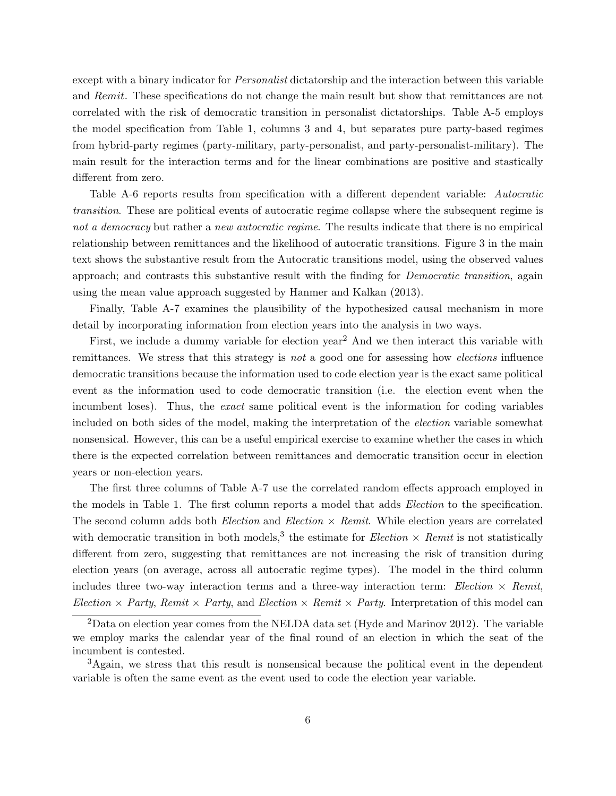except with a binary indicator for *Personalist* dictatorship and the interaction between this variable and Remit. These specifications do not change the main result but show that remittances are not correlated with the risk of democratic transition in personalist dictatorships. Table A-5 employs the model specification from Table 1, columns 3 and 4, but separates pure party-based regimes from hybrid-party regimes (party-military, party-personalist, and party-personalist-military). The main result for the interaction terms and for the linear combinations are positive and stastically different from zero.

Table A-6 reports results from specification with a different dependent variable: Autocratic transition. These are political events of autocratic regime collapse where the subsequent regime is not a democracy but rather a new autocratic regime. The results indicate that there is no empirical relationship between remittances and the likelihood of autocratic transitions. Figure 3 in the main text shows the substantive result from the Autocratic transitions model, using the observed values approach; and contrasts this substantive result with the finding for Democratic transition, again using the mean value approach suggested by [Hanmer and Kalkan](#page-32-2) [\(2013\)](#page-32-2).

Finally, Table A-7 examines the plausibility of the hypothesized causal mechanism in more detail by incorporating information from election years into the analysis in two ways.

First, we include a dummy variable for election year<sup>[2](#page-6-0)</sup> And we then interact this variable with remittances. We stress that this strategy is not a good one for assessing how elections influence democratic transitions because the information used to code election year is the exact same political event as the information used to code democratic transition (i.e. the election event when the incumbent loses). Thus, the exact same political event is the information for coding variables included on both sides of the model, making the interpretation of the election variable somewhat nonsensical. However, this can be a useful empirical exercise to examine whether the cases in which there is the expected correlation between remittances and democratic transition occur in election years or non-election years.

The first three columns of Table A-7 use the correlated random effects approach employed in the models in Table 1. The first column reports a model that adds Election to the specification. The second column adds both *Election* and *Election*  $\times$  *Remit.* While election years are correlated with democratic transition in both models,<sup>[3](#page-6-1)</sup> the estimate for *Election*  $\times$  *Remit* is not statistically different from zero, suggesting that remittances are not increasing the risk of transition during election years (on average, across all autocratic regime types). The model in the third column includes three two-way interaction terms and a three-way interaction term: Election  $\times$  Remit, Election  $\times$  Party, Remit  $\times$  Party, and Election  $\times$  Remit  $\times$  Party. Interpretation of this model can

<span id="page-6-0"></span><sup>2</sup>Data on election year comes from the NELDA data set [\(Hyde and Marinov 2012\)](#page-32-3). The variable we employ marks the calendar year of the final round of an election in which the seat of the incumbent is contested.

<span id="page-6-1"></span><sup>&</sup>lt;sup>3</sup>Again, we stress that this result is nonsensical because the political event in the dependent variable is often the same event as the event used to code the election year variable.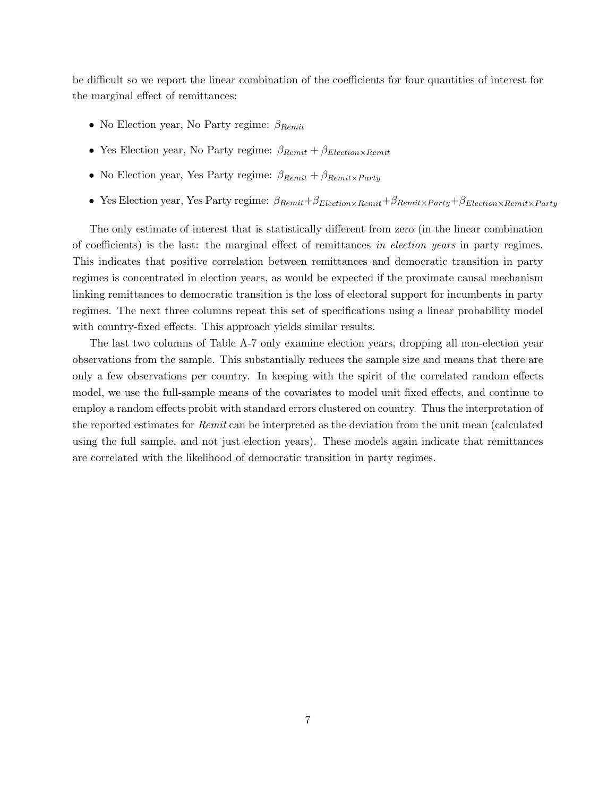be difficult so we report the linear combination of the coefficients for four quantities of interest for the marginal effect of remittances:

- No Election year, No Party regime:  $\beta_{Remit}$
- Yes Election year, No Party regime:  $\beta_{Remit} + \beta_{Election \times Renit}$
- No Election year, Yes Party regime:  $\beta_{Remit} + \beta_{Remit \times Party}$
- Yes Election year, Yes Party regime:  $\beta_{Remit}+\beta_{Election \times Renit}+\beta_{Remit \times Party}+\beta_{Election \times Renit \times Party}$

The only estimate of interest that is statistically different from zero (in the linear combination of coefficients) is the last: the marginal effect of remittances in election years in party regimes. This indicates that positive correlation between remittances and democratic transition in party regimes is concentrated in election years, as would be expected if the proximate causal mechanism linking remittances to democratic transition is the loss of electoral support for incumbents in party regimes. The next three columns repeat this set of specifications using a linear probability model with country-fixed effects. This approach yields similar results.

The last two columns of Table A-7 only examine election years, dropping all non-election year observations from the sample. This substantially reduces the sample size and means that there are only a few observations per country. In keeping with the spirit of the correlated random effects model, we use the full-sample means of the covariates to model unit fixed effects, and continue to employ a random effects probit with standard errors clustered on country. Thus the interpretation of the reported estimates for Remit can be interpreted as the deviation from the unit mean (calculated using the full sample, and not just election years). These models again indicate that remittances are correlated with the likelihood of democratic transition in party regimes.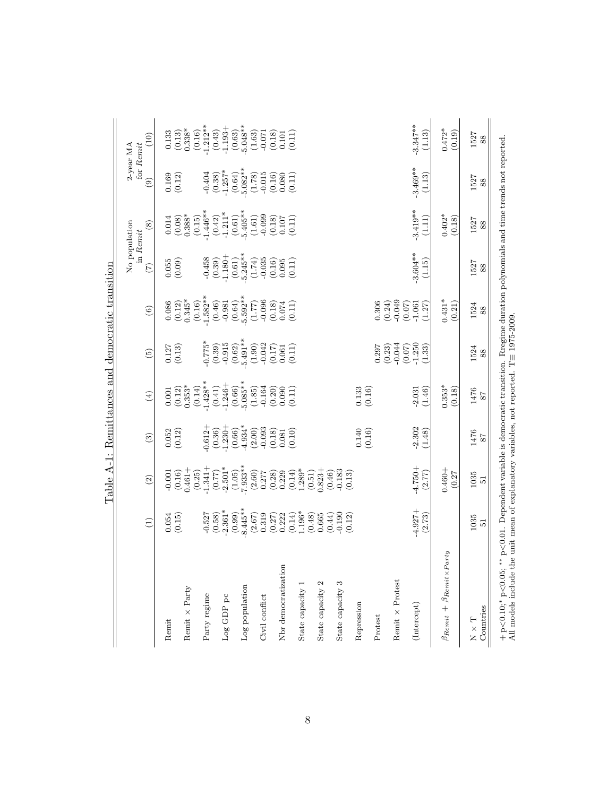|                                                                                                                 |                     |                                                          |                                                                          |                                 | Table A-1: Remittances and democratic transition      |                                                       |                                   |                                                                                                                       |                                                                            |                                                                    |
|-----------------------------------------------------------------------------------------------------------------|---------------------|----------------------------------------------------------|--------------------------------------------------------------------------|---------------------------------|-------------------------------------------------------|-------------------------------------------------------|-----------------------------------|-----------------------------------------------------------------------------------------------------------------------|----------------------------------------------------------------------------|--------------------------------------------------------------------|
|                                                                                                                 |                     |                                                          |                                                                          |                                 |                                                       |                                                       | No population<br>in Remit         |                                                                                                                       | for Remit<br>2-year MA                                                     |                                                                    |
|                                                                                                                 | $\bigoplus$         | $\widehat{2}$                                            | $\tag{3}$                                                                | $\left( \frac{1}{2} \right)$    | $\widetilde{\mathcal{L}}$                             | $\begin{array}{c} \textcircled{\small 6} \end{array}$ | $\widehat{C}$                     | $\circ$                                                                                                               | $\circledcirc$                                                             | (10)                                                               |
| Remit                                                                                                           | 0.054<br>(0.15)     | $-0.001$<br>(0.16)                                       | (0.12)                                                                   | (0.12)<br>0.001                 | (0.13)<br>0.127                                       | $\frac{0.086}{(0.12)}$                                | (0.055)                           | 0.014                                                                                                                 | 0.169<br>(0.12)                                                            | 0.133                                                              |
| Remit × Party                                                                                                   |                     | $0.461 +$<br>(0.25)                                      |                                                                          | $0.353*$<br>(0.14)              |                                                       | $0.345*$                                              |                                   | $(0.08)$<br>$0.388*$                                                                                                  |                                                                            | $(0.13)$<br>$0.338*$                                               |
| Party regime                                                                                                    | $-0.527$<br>(0.58)  | $-1.341+$<br>(0.77)                                      | $-0.612 +$<br>(0.36)                                                     | $-1.428**$<br>(0.41)            | $-0.775*$<br>(0.39)                                   | $(0.16)$<br>-1.582**<br>(0.46)                        | $-0.458$<br>$(0.39)$<br>$-1.180+$ | $(0.15)$<br>-1.446**<br>(0.42)                                                                                        |                                                                            | $(0.16)$<br>-1.212**<br>(0.43)                                     |
| $Log$ GDP $pc$                                                                                                  | $-2.361*$           | $-2.501*$                                                | $-1.230 +$                                                               | $-1.246+$                       |                                                       | $-0.981$                                              |                                   | $-1.211*$                                                                                                             | $-0.404$<br>$(0.38)$<br>$-1.257$ <sup>*</sup>                              | $-1.193 +$                                                         |
| Log population                                                                                                  | $8.445**$<br>(0.99) | $(1.05)$<br>-7.933**                                     | $(0.66)$<br>-4.934*                                                      | $(0.66)$<br>-5.085**            | $-0.915$<br>(0.62)<br>-5.491**                        | $(0.64)$<br>-5.592**                                  | $5.245**$<br>(0.61)               | $(0.61)$<br>-5.405**                                                                                                  | $(0.64)$<br>-5.082**                                                       | $(0.63)$<br>$-5.048**$                                             |
| Civil conflict                                                                                                  | $(2.67)$<br>0.319   | $\begin{array}{c} (2.60) \\ 0.277 \\ (0.28) \end{array}$ |                                                                          | (1.85)                          | $-0.042$<br>(1.90)                                    | $-0.096$<br>(1.77)                                    | $-0.035$<br>(1.74)                |                                                                                                                       |                                                                            |                                                                    |
|                                                                                                                 | (0.27)<br>0.222     | 0.229                                                    | $\begin{array}{c} (2.00) \\ -0.093 \\ 0.18) \\ 0.01 \\ 0.01 \end{array}$ | $(0.20)$<br>$(0.20)$<br>$0.090$ | $\begin{pmatrix} 0.17 \\ 0.061 \\ 0.11 \end{pmatrix}$ | (0.18)<br>0.074                                       | (0.16)<br>0.095                   | $\begin{array}{c} (1.61) \\ -0.099 \\ (0.18) \\ 0.107 \end{array}$                                                    | $\begin{array}{c} (1.78) \\ -0.015 \\ 0.16) \\ 0.080 \\ 0.011 \end{array}$ | $\begin{array}{c} (1.63) \\ -0.071 \\ (0.18) \\ 0.101 \end{array}$ |
| Nbr democratization                                                                                             | (0.14)              | (0.14)                                                   |                                                                          | (0.11)                          |                                                       | (0.11)                                                | (0.11)                            | (0.11)                                                                                                                |                                                                            | (0.11)                                                             |
| State capacity 1                                                                                                | $1.196*$<br>(0.48)  | $1.289*$<br>(0.51)                                       |                                                                          |                                 |                                                       |                                                       |                                   |                                                                                                                       |                                                                            |                                                                    |
| State capacity 2                                                                                                | 0.665<br>(0.44)     | $0.823 +$<br>(0.46)                                      |                                                                          |                                 |                                                       |                                                       |                                   |                                                                                                                       |                                                                            |                                                                    |
| State capacity 3                                                                                                | $-0.190$<br>(0.12)  | $-0.183$<br>(0.13)                                       |                                                                          |                                 |                                                       |                                                       |                                   |                                                                                                                       |                                                                            |                                                                    |
| Repression                                                                                                      |                     |                                                          | $(0.140)$<br>$(0.16)$                                                    | (0.133)                         |                                                       |                                                       |                                   |                                                                                                                       |                                                                            |                                                                    |
| Protest                                                                                                         |                     |                                                          |                                                                          |                                 | (0.23)<br>0.297                                       | $(0.306$<br>$(0.24)$<br>$-0.049$                      |                                   |                                                                                                                       |                                                                            |                                                                    |
| Remit $\times$ Protest                                                                                          |                     |                                                          |                                                                          |                                 | $-0.044$<br>(0.07)                                    | (0.07)                                                |                                   |                                                                                                                       |                                                                            |                                                                    |
| (Intercept)                                                                                                     | $4.927 +$<br>(2.73) | $-4.750 +$<br>(2.77)                                     | $-2.302$<br>(1.48)                                                       | $-2.031$<br>(1.46)              | $-1.250$<br>(1.33)                                    | $-1.061$<br>(1.27)                                    | $-3.604**$<br>(1.15)              | $-3.419**$<br>(1.11)                                                                                                  | $-3.469**$<br>(1.13)                                                       | $-3.347**$<br>(1.13)                                               |
| $\beta_{Remit} + \beta_{Remit \times Party}$                                                                    |                     | $0.460 +$                                                |                                                                          | $0.353*$                        |                                                       | $0.431*$                                              |                                   | $0.402*$                                                                                                              |                                                                            | $0.472*$                                                           |
|                                                                                                                 |                     | (0.27)                                                   |                                                                          | (0.18)                          |                                                       | (0.21)                                                |                                   | (0.18)                                                                                                                |                                                                            | (0.19)                                                             |
| Countries<br>$\Gamma$ $\times$ $\Gamma$                                                                         | 1035<br>51          | 1035<br>$\overline{5}$                                   | 1476<br>$\sqrt{8}$                                                       | 1476<br>$\sqrt{8}$              | 1524<br>$88\,$                                        | 1524<br>$88\,$                                        | 1527<br>$88\,$                    | $\frac{1527}{88}$                                                                                                     | 1527<br>$88\,$                                                             | 1527<br>88                                                         |
| All models include the unit mean of explanatory variables, not reported. T= $1975-2009$<br>$+$ p<0.10;* p<0.05; |                     |                                                          |                                                                          |                                 |                                                       |                                                       |                                   | ** $p<0.01$ . Dependent variable is democratic transition. Rregime duration polynomials and time trends not reported. |                                                                            |                                                                    |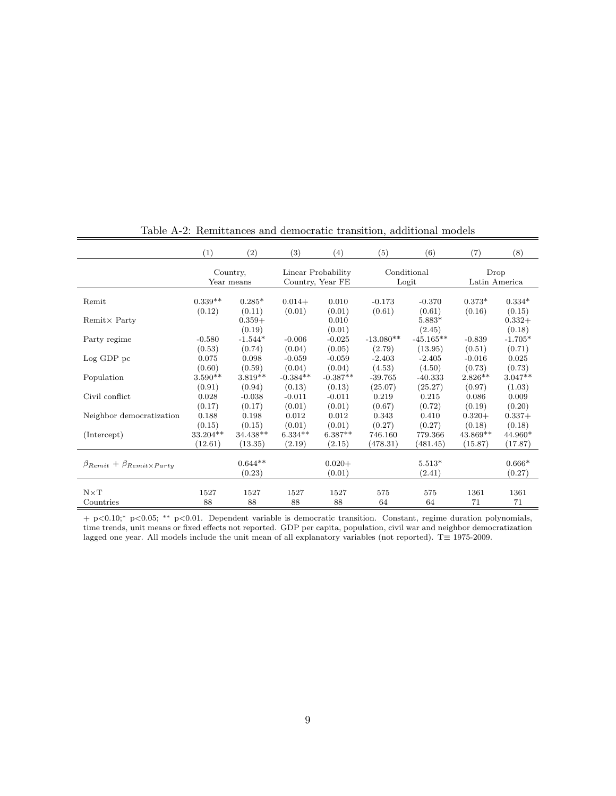|                                              | (1)       | (2)                    | (3)        | (4)                                    | (5)         | (6)                  | (7)                   | (8)                |
|----------------------------------------------|-----------|------------------------|------------|----------------------------------------|-------------|----------------------|-----------------------|--------------------|
|                                              |           | Country,<br>Year means |            | Linear Probability<br>Country, Year FE |             | Conditional<br>Logit | Drop<br>Latin America |                    |
| Remit                                        | $0.339**$ | $0.285*$               | $0.014+$   | 0.010                                  | $-0.173$    | $-0.370$             | $0.373*$              | $0.334*$           |
|                                              | (0.12)    | (0.11)                 | (0.01)     | (0.01)                                 | (0.61)      | (0.61)               | (0.16)                | (0.15)             |
| $Remit \times Party$                         |           | $0.359+$<br>(0.19)     |            | 0.010<br>(0.01)                        |             | 5.883*<br>(2.45)     |                       | $0.332+$<br>(0.18) |
| Party regime                                 | $-0.580$  | $-1.544*$              | $-0.006$   | $-0.025$                               | $-13.080**$ | $-45.165**$          | $-0.839$              | $-1.705*$          |
|                                              | (0.53)    | (0.74)                 | (0.04)     | (0.05)                                 | (2.79)      | (13.95)              | (0.51)                | (0.71)             |
| $Log GDP$ pc                                 | 0.075     | 0.098                  | $-0.059$   | $-0.059$                               | $-2.403$    | $-2.405$             | $-0.016$              | 0.025              |
|                                              | (0.60)    | (0.59)                 | (0.04)     | (0.04)                                 | (4.53)      | (4.50)               | (0.73)                | (0.73)             |
| Population                                   | $3.590**$ | $3.819**$              | $-0.384**$ | $-0.387**$                             | $-39.765$   | $-40.333$            | $2.826**$             | $3.047**$          |
|                                              | (0.91)    | (0.94)                 | (0.13)     | (0.13)                                 | (25.07)     | (25.27)              | (0.97)                | (1.03)             |
| Civil conflict                               | 0.028     | $-0.038$               | $-0.011$   | $-0.011$                               | 0.219       | 0.215                | 0.086                 | 0.009              |
|                                              | (0.17)    | (0.17)                 | (0.01)     | (0.01)                                 | (0.67)      | (0.72)               | (0.19)                | (0.20)             |
| Neighbor democratization                     | 0.188     | 0.198                  | 0.012      | 0.012                                  | 0.343       | 0.410                | $0.320+$              | $0.337+$           |
|                                              | (0.15)    | (0.15)                 | (0.01)     | (0.01)                                 | (0.27)      | (0.27)               | (0.18)                | (0.18)             |
| (Intercept)                                  | 33.204**  | 34.438**               | $6.334**$  | $6.387**$                              | 746.160     | 779.366              | 43.869**              | 44.960*            |
|                                              | (12.61)   | (13.35)                | (2.19)     | (2.15)                                 | (478.31)    | (481.45)             | (15.87)               | (17.87)            |
| $\beta_{Remit} + \beta_{Remit \times Party}$ |           | $0.644**$<br>(0.23)    |            | $0.020 +$<br>(0.01)                    |             | $5.513*$<br>(2.41)   |                       | $0.666*$<br>(0.27) |
| $N \times T$                                 | 1527      | 1527                   | 1527       | 1527                                   | 575         | 575                  | 1361                  | 1361               |
| Countries                                    | 88        | 88                     | 88         | 88                                     | 64          | 64                   | 71                    | 71                 |

Table A-2: Remittances and democratic transition, additional models

+ p<0.10;<sup>∗</sup> p<0.05; ∗∗ p<0.01. Dependent variable is democratic transition. Constant, regime duration polynomials, time trends, unit means or fixed effects not reported. GDP per capita, population, civil war and neighbor democratization lagged one year. All models include the unit mean of all explanatory variables (not reported). T≡ 1975-2009.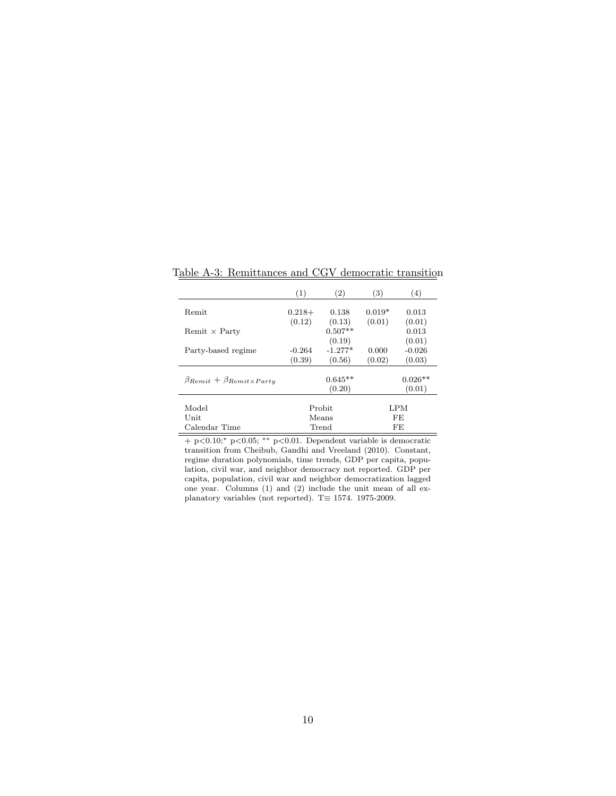|                                              | (1)      | (2)       | (3)      | (4)       |
|----------------------------------------------|----------|-----------|----------|-----------|
| Remit                                        | $0.218+$ | 0.138     | $0.019*$ | 0.013     |
|                                              | (0.12)   | (0.13)    | (0.01)   | (0.01)    |
| Remit $\times$ Party                         |          | $0.507**$ |          | 0.013     |
|                                              |          | (0.19)    |          | (0.01)    |
| Party-based regime                           | $-0.264$ | $-1.277*$ | 0.000    | $-0.026$  |
|                                              | (0.39)   | (0.56)    | (0.02)   | (0.03)    |
|                                              |          | $0.645**$ |          | $0.026**$ |
| $\beta_{Remit} + \beta_{Remit \times Partu}$ |          | (0.20)    |          | (0.01)    |
| Model                                        |          | Probit    |          | LPM       |
| Unit                                         |          | Means     |          | FE        |
| Calendar Time                                |          | Trend     |          | FE        |

Table A-3: Remittances and CGV democratic transition

 $+$  p<0.10;\* p<0.05; \*\* p<0.01. Dependent variable is democratic transition from [Cheibub, Gandhi and Vreeland](#page-32-1) [\(2010\)](#page-32-1). Constant, regime duration polynomials, time trends, GDP per capita, population, civil war, and neighbor democracy not reported. GDP per capita, population, civil war and neighbor democratization lagged one year. Columns (1) and (2) include the unit mean of all explanatory variables (not reported). T≡ 1574. 1975-2009.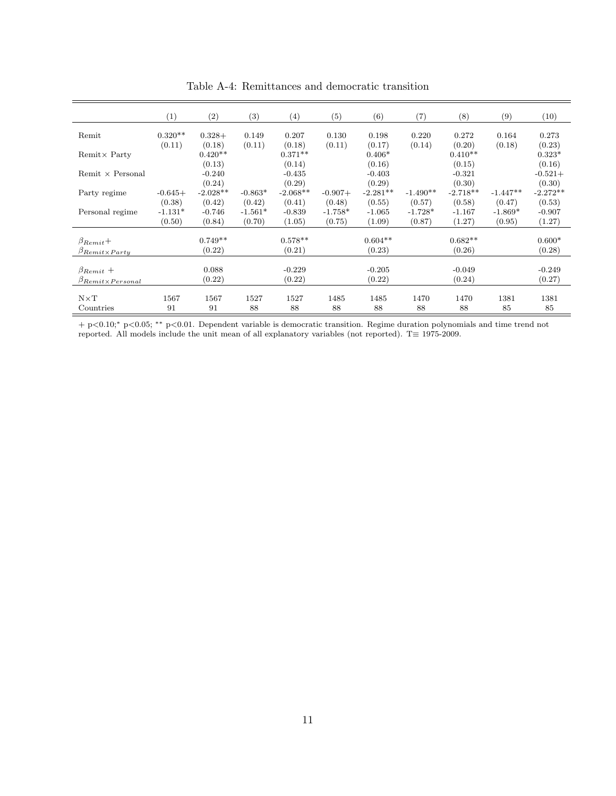|                                | (1)       | $\left( 2\right)$ | $\left( 3\right)$ | $\left( 4\right)$ | (5)       | (6)        | (7)        | (8)        | (9)        | (10)       |
|--------------------------------|-----------|-------------------|-------------------|-------------------|-----------|------------|------------|------------|------------|------------|
| Remit                          | $0.320**$ | $0.328+$          | 0.149             | 0.207             | 0.130     | 0.198      | 0.220      | 0.272      | 0.164      | 0.273      |
|                                | (0.11)    | (0.18)            | (0.11)            | (0.18)            | (0.11)    | (0.17)     | (0.14)     | (0.20)     | (0.18)     | (0.23)     |
| Remit $\times$ Party           |           | $0.420**$         |                   | $0.371**$         |           | $0.406*$   |            | $0.410**$  |            | $0.323*$   |
|                                |           | (0.13)            |                   | (0.14)            |           | (0.16)     |            | (0.15)     |            | (0.16)     |
| Remit $\times$ Personal        |           | $-0.240$          |                   | $-0.435$          |           | $-0.403$   |            | $-0.321$   |            | $-0.521+$  |
|                                |           | (0.24)            |                   | (0.29)            |           | (0.29)     |            | (0.30)     |            | (0.30)     |
| Party regime                   | $-0.645+$ | $-2.028**$        | $-0.863*$         | $-2.068**$        | $-0.907+$ | $-2.281**$ | $-1.490**$ | $-2.718**$ | $-1.447**$ | $-2.272**$ |
|                                | (0.38)    | (0.42)            | (0.42)            | (0.41)            | (0.48)    | (0.55)     | (0.57)     | (0.58)     | (0.47)     | (0.53)     |
| Personal regime                | $-1.131*$ | $-0.746$          | $-1.561*$         | $-0.839$          | $-1.758*$ | $-1.065$   | $-1.728*$  | $-1.167$   | $-1.869*$  | $-0.907$   |
|                                | (0.50)    | (0.84)            | (0.70)            | (1.05)            | (0.75)    | (1.09)     | (0.87)     | (1.27)     | (0.95)     | (1.27)     |
|                                |           |                   |                   |                   |           |            |            |            |            |            |
| $\beta_{Remit}$ +              |           | $0.749**$         |                   | $0.578**$         |           | $0.604**$  |            | $0.682**$  |            | $0.600*$   |
| $\beta_{Remit\times Party}$    |           | (0.22)            |                   | (0.21)            |           | (0.23)     |            | (0.26)     |            | (0.28)     |
|                                |           |                   |                   |                   |           |            |            |            |            |            |
| $\beta_{Remit}$ +              |           | 0.088             |                   | $-0.229$          |           | $-0.205$   |            | $-0.049$   |            | $-0.249$   |
| $\beta_{Remit\times Personal}$ |           | (0.22)            |                   | (0.22)            |           | (0.22)     |            | (0.24)     |            | (0.27)     |
|                                |           |                   |                   |                   |           |            |            |            |            |            |
| $N \times T$                   | 1567      | 1567              | 1527              | 1527              | 1485      | 1485       | 1470       | 1470       | 1381       | 1381       |
| Countries                      | 91        | 91                | 88                | 88                | 88        | 88         | 88         | 88         | 85         | 85         |

Table A-4: Remittances and democratic transition

+ p<0.10;<sup>∗</sup> p<0.05; ∗∗ p<0.01. Dependent variable is democratic transition. Regime duration polynomials and time trend not reported. All models include the unit mean of all explanatory variables (not reported). T≡ 1975-2009.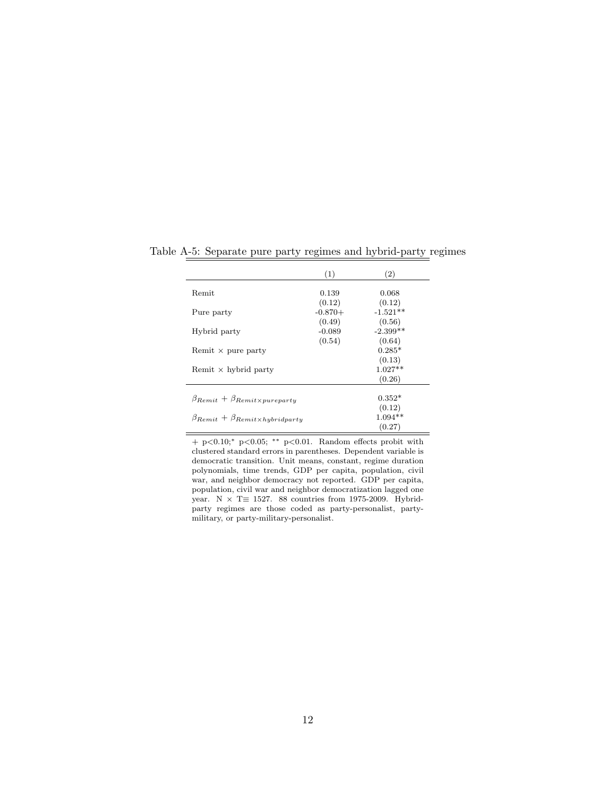|                                                    | (1)                 | $\left( 2\right)$    |
|----------------------------------------------------|---------------------|----------------------|
| Remit                                              | 0.139               | 0.068                |
| Pure party                                         | (0.12)<br>$-0.870+$ | (0.12)<br>$-1.521**$ |
|                                                    | (0.49)<br>$-0.089$  | (0.56)<br>$-2.399**$ |
| Hybrid party                                       | (0.54)              | (0.64)               |
| Remit $\times$ pure party                          |                     | $0.285*$<br>(0.13)   |
| Remit $\times$ hybrid party                        |                     | $1.027**$<br>(0.26)  |
|                                                    |                     |                      |
| $\beta_{Remit} + \beta_{Remit\times pureparty}$    |                     | $0.352*$             |
|                                                    |                     | (0.12)               |
| $\beta_{Remit} + \beta_{Remit \times hybridparty}$ |                     | $1.094**$            |
|                                                    |                     | (0.27)               |

Table A-5: Separate pure party regimes and hybrid-party regimes

+ p<0.10;<sup>∗</sup> p<0.05; ∗∗ p<0.01. Random effects probit with clustered standard errors in parentheses. Dependent variable is democratic transition. Unit means, constant, regime duration polynomials, time trends, GDP per capita, population, civil war, and neighbor democracy not reported. GDP per capita, population, civil war and neighbor democratization lagged one year. N  $\times$  T $\equiv$  1527. 88 countries from 1975-2009. Hybridparty regimes are those coded as party-personalist, partymilitary, or party-military-personalist.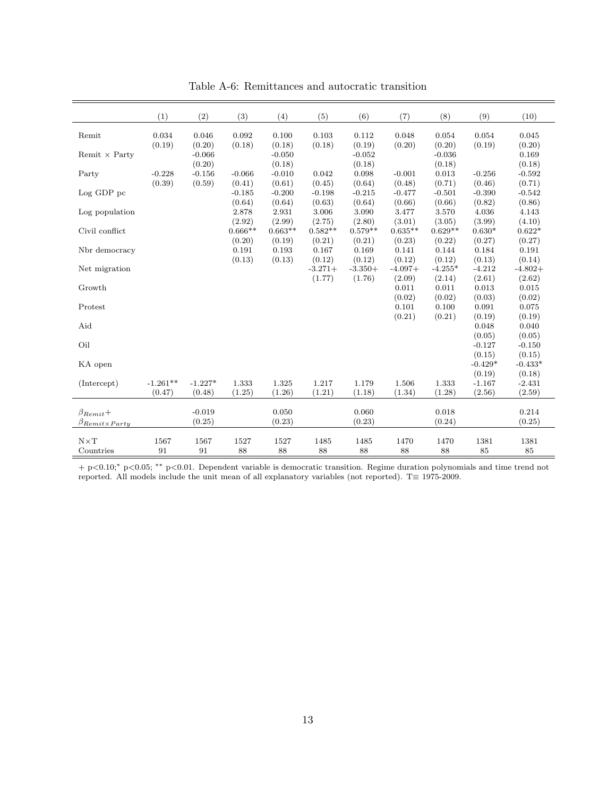|                                                  | (1)                | (2)                | (3)                 | (4)                 | (5)                 | (6)                 | (7)                 | (8)                          | (9)                      | (10)                     |
|--------------------------------------------------|--------------------|--------------------|---------------------|---------------------|---------------------|---------------------|---------------------|------------------------------|--------------------------|--------------------------|
| Remit                                            | 0.034<br>(0.19)    | 0.046<br>(0.20)    | 0.092<br>(0.18)     | 0.100<br>(0.18)     | 0.103<br>(0.18)     | 0.112<br>(0.19)     | 0.048<br>(0.20)     | 0.054                        | 0.054<br>(0.19)          | 0.045<br>(0.20)          |
| Remit $\times$ Party                             |                    | $-0.066$<br>(0.20) |                     | $-0.050$<br>(0.18)  |                     | $-0.052$<br>(0.18)  |                     | (0.20)<br>$-0.036$<br>(0.18) |                          | 0.169<br>(0.18)          |
| Party                                            | $-0.228$<br>(0.39) | $-0.156$<br>(0.59) | $-0.066$<br>(0.41)  | $-0.010$<br>(0.61)  | 0.042<br>(0.45)     | 0.098<br>(0.64)     | $-0.001$<br>(0.48)  | 0.013<br>(0.71)              | $-0.256$<br>(0.46)       | $-0.592$<br>(0.71)       |
| Log GDP pc                                       |                    |                    | $-0.185$<br>(0.64)  | $-0.200$<br>(0.64)  | $-0.198$<br>(0.63)  | $-0.215$<br>(0.64)  | $-0.477$<br>(0.66)  | $-0.501$<br>(0.66)           | $-0.390$<br>(0.82)       | $-0.542$<br>(0.86)       |
| Log population                                   |                    |                    | 2.878<br>(2.92)     | 2.931<br>(2.99)     | 3.006<br>(2.75)     | 3.090<br>(2.80)     | 3.477<br>(3.01)     | 3.570<br>(3.05)              | 4.036<br>(3.99)          | 4.143<br>(4.10)          |
| Civil conflict                                   |                    |                    | $0.666**$<br>(0.20) | $0.663**$<br>(0.19) | $0.582**$<br>(0.21) | $0.579**$<br>(0.21) | $0.635**$<br>(0.23) | $0.629**$<br>(0.22)          | $0.630*$<br>(0.27)       | $0.622*$<br>(0.27)       |
| Nbr democracy                                    |                    |                    | 0.191<br>(0.13)     | 0.193<br>(0.13)     | 0.167<br>(0.12)     | 0.169<br>(0.12)     | 0.141<br>(0.12)     | 0.144<br>(0.12)              | 0.184<br>(0.13)          | 0.191<br>(0.14)          |
| Net migration                                    |                    |                    |                     |                     | $-3.271+$<br>(1.77) | $-3.350+$<br>(1.76) | $-4.097+$<br>(2.09) | $-4.255*$<br>(2.14)          | $-4.212$<br>(2.61)       | $-4.802+$<br>(2.62)      |
| Growth                                           |                    |                    |                     |                     |                     |                     | 0.011<br>(0.02)     | 0.011<br>(0.02)              | 0.013<br>(0.03)          | 0.015<br>(0.02)          |
| Protest<br>Aid                                   |                    |                    |                     |                     |                     |                     | 0.101<br>(0.21)     | 0.100<br>(0.21)              | 0.091<br>(0.19)<br>0.048 | 0.075<br>(0.19)<br>0.040 |
| Oil                                              |                    |                    |                     |                     |                     |                     |                     |                              | (0.05)<br>$-0.127$       | (0.05)<br>$-0.150$       |
| KA open                                          |                    |                    |                     |                     |                     |                     |                     |                              | (0.15)<br>$-0.429*$      | (0.15)<br>$-0.433*$      |
| (Intercept)                                      | $-1.261**$         | $-1.227*$          | 1.333               | 1.325               | 1.217               | 1.179               | 1.506               | 1.333                        | (0.19)<br>$-1.167$       | (0.18)<br>$-2.431$       |
|                                                  | (0.47)             | (0.48)             | (1.25)              | (1.26)              | (1.21)              | (1.18)              | (1.34)              | (1.28)                       | (2.56)                   | (2.59)                   |
| $\beta_{Remit} +$<br>$\beta_{Remit\times Partu}$ |                    | $-0.019$<br>(0.25) |                     | 0.050<br>(0.23)     |                     | 0.060<br>(0.23)     |                     | 0.018<br>(0.24)              |                          | 0.214<br>(0.25)          |
| $N \times T$<br>Countries                        | 1567<br>91         | 1567<br>91         | 1527<br>88          | 1527<br>88          | 1485<br>88          | 1485<br>88          | 1470<br>88          | 1470<br>88                   | 1381<br>85               | 1381<br>85               |

Table A-6: Remittances and autocratic transition

+ p<0.10;<sup>∗</sup> p<0.05; ∗∗ p<0.01. Dependent variable is democratic transition. Regime duration polynomials and time trend not reported. All models include the unit mean of all explanatory variables (not reported). T≡ 1975-2009.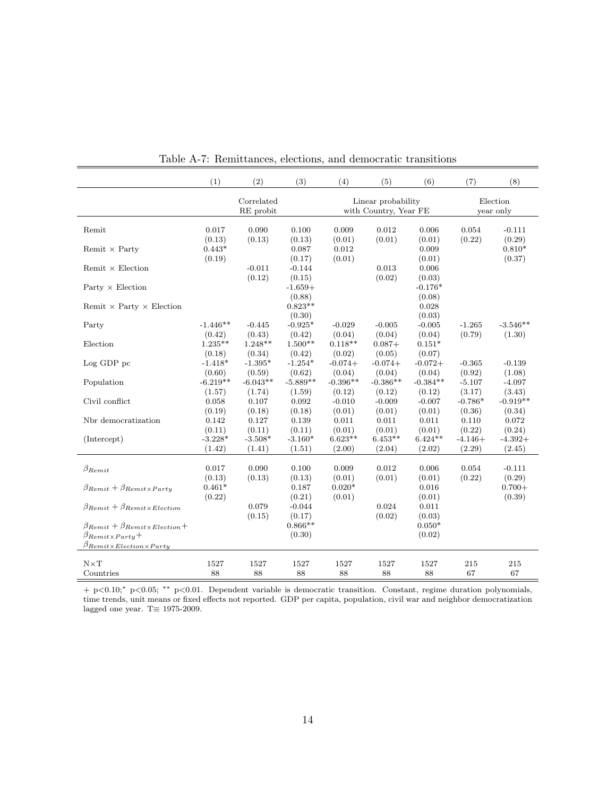|                                                                                                                                   | (1)                          | (2)                     | (3)                       | (4)                       | (5)                                         | (6)                       | (7)                 | (8)                          |
|-----------------------------------------------------------------------------------------------------------------------------------|------------------------------|-------------------------|---------------------------|---------------------------|---------------------------------------------|---------------------------|---------------------|------------------------------|
|                                                                                                                                   |                              | Correlated<br>RE probit |                           |                           | Linear probability<br>with Country, Year FE |                           |                     | Election<br>year only        |
| Remit                                                                                                                             | 0.017                        | 0.090                   | 0.100                     | 0.009                     | 0.012                                       | 0.006                     | 0.054               | $-0.111$                     |
| Remit $\times$ Party                                                                                                              | (0.13)<br>$0.443*$<br>(0.19) | (0.13)                  | (0.13)<br>0.087<br>(0.17) | (0.01)<br>0.012<br>(0.01) | (0.01)                                      | (0.01)<br>0.009<br>(0.01) | (0.22)              | (0.29)<br>$0.810*$<br>(0.37) |
| Remit $\times$ Election                                                                                                           |                              | $-0.011$<br>(0.12)      | $-0.144$<br>(0.15)        |                           | 0.013<br>(0.02)                             | 0.006<br>(0.03)           |                     |                              |
| Party $\times$ Election                                                                                                           |                              |                         | $-1.659+$<br>(0.88)       |                           |                                             | $-0.176*$<br>(0.08)       |                     |                              |
| Remit $\times$ Party $\times$ Election                                                                                            |                              |                         | $0.823**$<br>(0.30)       |                           |                                             | 0.028<br>(0.03)           |                     |                              |
| Party                                                                                                                             | $-1.446**$<br>(0.42)         | $-0.445$<br>(0.43)      | $-0.925*$<br>(0.42)       | $-0.029$<br>(0.04)        | $-0.005$<br>(0.04)                          | $-0.005$<br>(0.04)        | $-1.265$<br>(0.79)  | $-3.546**$<br>(1.30)         |
| Election                                                                                                                          | $1.235**$<br>(0.18)          | $1.248**$<br>(0.34)     | $1.500**$<br>(0.42)       | $0.118**$<br>(0.02)       | $0.087 +$<br>(0.05)                         | $0.151*$<br>(0.07)        |                     |                              |
| $Log GDP$ pc                                                                                                                      | $-1.418*$<br>(0.60)          | $-1.395*$<br>(0.59)     | $-1.254*$<br>(0.62)       | $-0.074+$<br>(0.04)       | $-0.074+$<br>(0.04)                         | $-0.072+$<br>(0.04)       | $-0.365$<br>(0.92)  | $-0.139$<br>(1.08)           |
| Population                                                                                                                        | $-6.219**$<br>(1.57)         | $-6.043**$<br>(1.74)    | $-5.889**$<br>(1.59)      | $-0.396**$<br>(0.12)      | $-0.386**$<br>(0.12)                        | $-0.384**$<br>(0.12)      | $-5.107$<br>(3.17)  | $-4.097$<br>(3.43)           |
| Civil conflict                                                                                                                    | 0.058<br>(0.19)              | 0.107<br>(0.18)         | 0.092<br>(0.18)           | $-0.010$<br>(0.01)        | $-0.009$<br>(0.01)                          | $-0.007$<br>(0.01)        | $-0.786*$<br>(0.36) | $-0.919**$<br>(0.34)         |
| Nbr democratization                                                                                                               | 0.142<br>(0.11)              | 0.127<br>(0.11)         | 0.139<br>(0.11)           | 0.011<br>(0.01)           | 0.011<br>(0.01)                             | 0.011<br>(0.01)           | 0.110<br>(0.22)     | 0.072<br>(0.24)              |
| (Intercept)                                                                                                                       | $-3.228*$<br>(1.42)          | $-3.508*$<br>(1.41)     | $-3.160*$<br>(1.51)       | $6.623**$<br>(2.00)       | $6.453**$<br>(2.04)                         | $6.424**$<br>(2.02)       | $-4.146+$<br>(2.29) | $-4.392+$<br>(2.45)          |
| $\beta_{Remit}$                                                                                                                   | 0.017<br>(0.13)              | 0.090<br>(0.13)         | 0.100<br>(0.13)           | 0.009<br>(0.01)           | 0.012<br>(0.01)                             | 0.006<br>(0.01)           | 0.054<br>(0.22)     | $-0.111$<br>(0.29)           |
| $\beta_{Remit} + \beta_{Remit \times Partu}$                                                                                      | $0.461*$<br>(0.22)           |                         | 0.187<br>(0.21)           | $0.020*$<br>(0.01)        |                                             | 0.016<br>(0.01)           |                     | $0.700+$<br>(0.39)           |
| $\beta_{Remit} + \beta_{Remit \times Electron}$                                                                                   |                              | 0.079<br>(0.15)         | $-0.044$<br>(0.17)        |                           | 0.024<br>(0.02)                             | 0.011<br>(0.03)           |                     |                              |
| $\beta_{Remit} + \beta_{Remit \times Electron} +$<br>$\beta_{Remit\times Partu}+$<br>$\beta_{Remit \times Electron \times Party}$ |                              |                         | $0.866**$<br>(0.30)       |                           |                                             | $0.050*$<br>(0.02)        |                     |                              |
| $N \times T$<br>Countries                                                                                                         | 1527<br>88                   | 1527<br>88              | 1527<br>88                | 1527<br>88                | 1527<br>88                                  | 1527<br>88                | 215<br>67           | 215<br>67                    |

Table A-7: Remittances, elections, and democratic transitions

+ p<0.10;<sup>∗</sup> p<0.05; ∗∗ p<0.01. Dependent variable is democratic transition. Constant, regime duration polynomials, time trends, unit means or fixed effects not reported. GDP per capita, population, civil war and neighbor democratization lagged one year. T $\equiv$  1975-2009.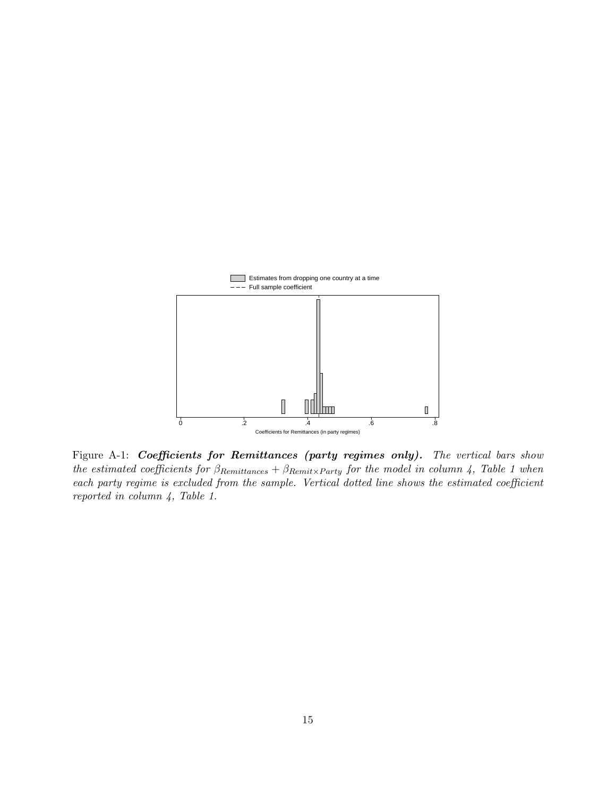

Figure A-1: Coefficients for Remittances (party regimes only). The vertical bars show the estimated coefficients for  $\beta_{Remittances} + \beta_{Remit\times Party}$  for the model in column 4, Table 1 when each party regime is excluded from the sample. Vertical dotted line shows the estimated coefficient reported in column 4, Table 1.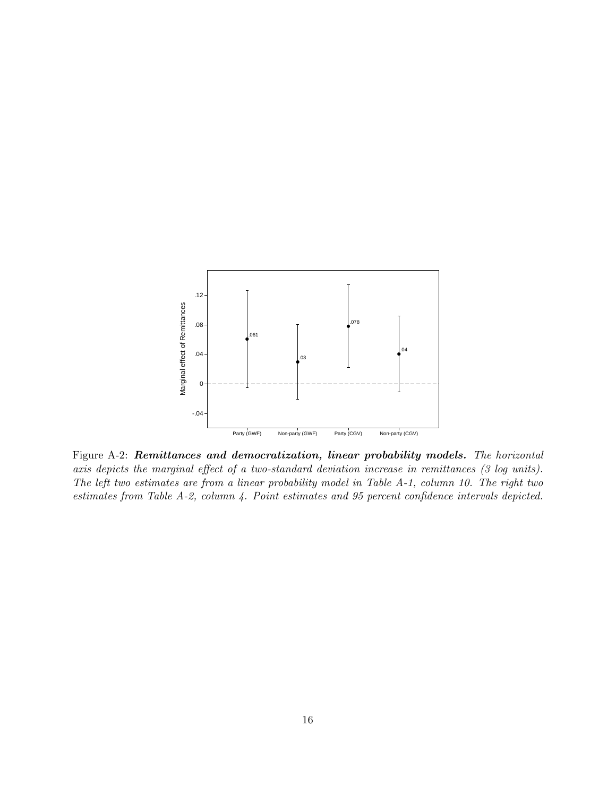

Figure A-2: Remittances and democratization, linear probability models. The horizontal axis depicts the marginal effect of a two-standard deviation increase in remittances (3 log units). The left two estimates are from a linear probability model in Table A-1, column 10. The right two estimates from Table A-2, column 4. Point estimates and 95 percent confidence intervals depicted.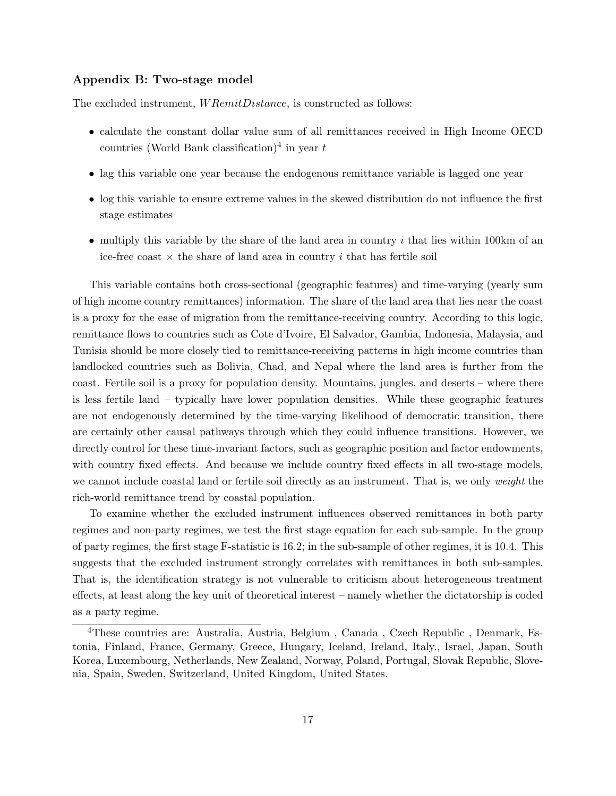## Appendix B: Two-stage model

The excluded instrument,  $WRemitDistance$ , is constructed as follows:

- calculate the constant dollar value sum of all remittances received in High Income OECD countries (World Bank classification)<sup>[4](#page-17-0)</sup> in year  $t$
- lag this variable one year because the endogenous remittance variable is lagged one year
- log this variable to ensure extreme values in the skewed distribution do not influence the first stage estimates
- multiply this variable by the share of the land area in country  $i$  that lies within 100km of an ice-free coast  $\times$  the share of land area in country i that has fertile soil

This variable contains both cross-sectional (geographic features) and time-varying (yearly sum of high income country remittances) information. The share of the land area that lies near the coast is a proxy for the ease of migration from the remittance-receiving country. According to this logic, remittance flows to countries such as Cote d'Ivoire, El Salvador, Gambia, Indonesia, Malaysia, and Tunisia should be more closely tied to remittance-receiving patterns in high income countries than landlocked countries such as Bolivia, Chad, and Nepal where the land area is further from the coast. Fertile soil is a proxy for population density. Mountains, jungles, and deserts – where there is less fertile land – typically have lower population densities. While these geographic features are not endogenously determined by the time-varying likelihood of democratic transition, there are certainly other causal pathways through which they could influence transitions. However, we directly control for these time-invariant factors, such as geographic position and factor endowments, with country fixed effects. And because we include country fixed effects in all two-stage models, we cannot include coastal land or fertile soil directly as an instrument. That is, we only weight the rich-world remittance trend by coastal population.

To examine whether the excluded instrument influences observed remittances in both party regimes and non-party regimes, we test the first stage equation for each sub-sample. In the group of party regimes, the first stage F-statistic is 16.2; in the sub-sample of other regimes, it is 10.4. This suggests that the excluded instrument strongly correlates with remittances in both sub-samples. That is, the identification strategy is not vulnerable to criticism about heterogeneous treatment effects, at least along the key unit of theoretical interest – namely whether the dictatorship is coded as a party regime.

<span id="page-17-0"></span><sup>4</sup>These countries are: Australia, Austria, Belgium , Canada , Czech Republic , Denmark, Estonia, Finland, France, Germany, Greece, Hungary, Iceland, Ireland, Italy., Israel, Japan, South Korea, Luxembourg, Netherlands, New Zealand, Norway, Poland, Portugal, Slovak Republic, Slovenia, Spain, Sweden, Switzerland, United Kingdom, United States.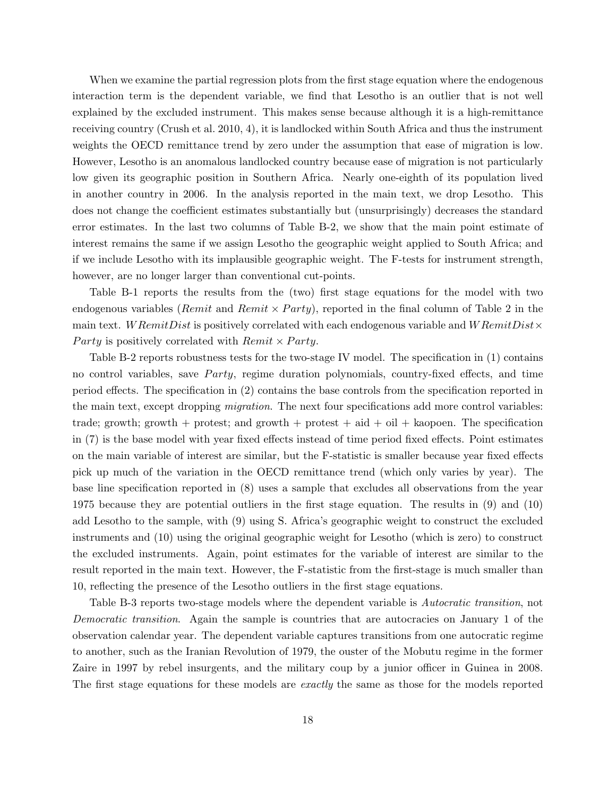When we examine the partial regression plots from the first stage equation where the endogenous interaction term is the dependent variable, we find that Lesotho is an outlier that is not well explained by the excluded instrument. This makes sense because although it is a high-remittance receiving country [\(Crush et al. 2010,](#page-32-4) 4), it is landlocked within South Africa and thus the instrument weights the OECD remittance trend by zero under the assumption that ease of migration is low. However, Lesotho is an anomalous landlocked country because ease of migration is not particularly low given its geographic position in Southern Africa. Nearly one-eighth of its population lived in another country in 2006. In the analysis reported in the main text, we drop Lesotho. This does not change the coefficient estimates substantially but (unsurprisingly) decreases the standard error estimates. In the last two columns of Table B-2, we show that the main point estimate of interest remains the same if we assign Lesotho the geographic weight applied to South Africa; and if we include Lesotho with its implausible geographic weight. The F-tests for instrument strength, however, are no longer larger than conventional cut-points.

Table B-1 reports the results from the (two) first stage equations for the model with two endogenous variables (*Remit* and *Remit*  $\times$  *Party*), reported in the final column of Table 2 in the main text. W RemitDist is positively correlated with each endogenous variable and W RemitDist $\times$ Party is positively correlated with  $Remit \times Party$ .

Table B-2 reports robustness tests for the two-stage IV model. The specification in (1) contains no control variables, save *Party*, regime duration polynomials, country-fixed effects, and time period effects. The specification in (2) contains the base controls from the specification reported in the main text, except dropping *migration*. The next four specifications add more control variables: trade; growth; growth + protest; and growth + protest + aid + oil + kaopoen. The specification in (7) is the base model with year fixed effects instead of time period fixed effects. Point estimates on the main variable of interest are similar, but the F-statistic is smaller because year fixed effects pick up much of the variation in the OECD remittance trend (which only varies by year). The base line specification reported in (8) uses a sample that excludes all observations from the year 1975 because they are potential outliers in the first stage equation. The results in (9) and (10) add Lesotho to the sample, with (9) using S. Africa's geographic weight to construct the excluded instruments and (10) using the original geographic weight for Lesotho (which is zero) to construct the excluded instruments. Again, point estimates for the variable of interest are similar to the result reported in the main text. However, the F-statistic from the first-stage is much smaller than 10, reflecting the presence of the Lesotho outliers in the first stage equations.

Table B-3 reports two-stage models where the dependent variable is *Autocratic transition*, not Democratic transition. Again the sample is countries that are autocracies on January 1 of the observation calendar year. The dependent variable captures transitions from one autocratic regime to another, such as the Iranian Revolution of 1979, the ouster of the Mobutu regime in the former Zaire in 1997 by rebel insurgents, and the military coup by a junior officer in Guinea in 2008. The first stage equations for these models are *exactly* the same as those for the models reported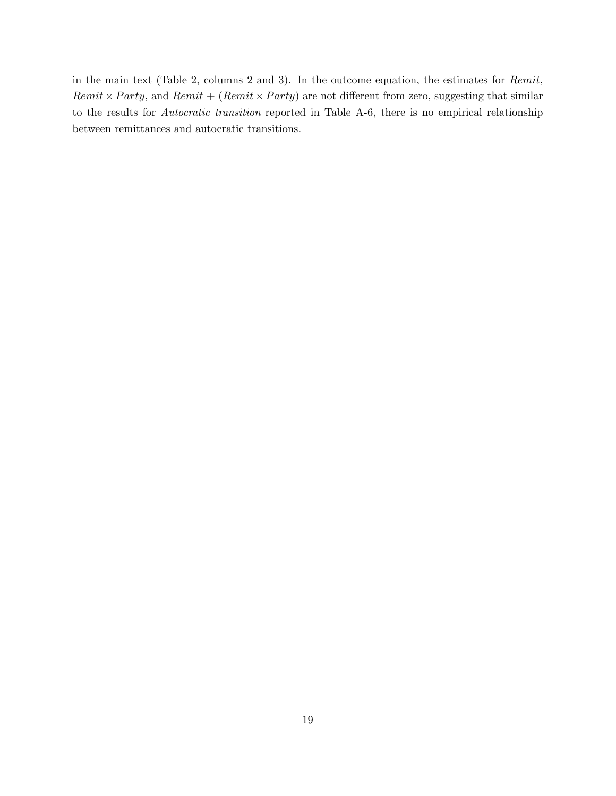in the main text (Table 2, columns 2 and 3). In the outcome equation, the estimates for Remit, Remit  $\times$  Party, and Remit + (Remit  $\times$  Party) are not different from zero, suggesting that similar to the results for Autocratic transition reported in Table A-6, there is no empirical relationship between remittances and autocratic transitions.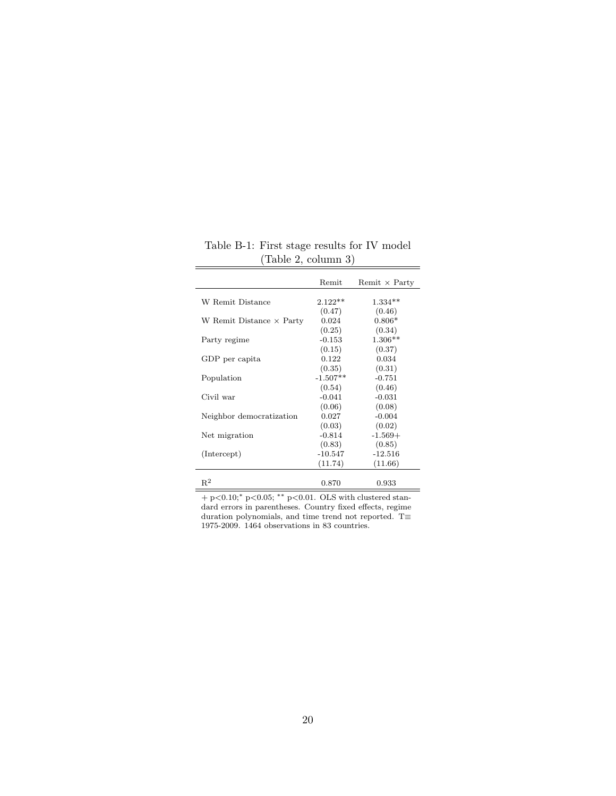|                                 | Remit      | Remit $\times$ Party |
|---------------------------------|------------|----------------------|
|                                 |            |                      |
| W Remit Distance                | $2.122**$  | $1.334**$            |
|                                 | (0.47)     | (0.46)               |
| W Remit Distance $\times$ Party | 0.024      | $0.806*$             |
|                                 | (0.25)     | (0.34)               |
| Party regime                    | $-0.153$   | $1.306**$            |
|                                 | (0.15)     | (0.37)               |
| GDP per capita                  | 0.122      | 0.034                |
|                                 | (0.35)     | (0.31)               |
| Population                      | $-1.507**$ | $-0.751$             |
|                                 | (0.54)     | (0.46)               |
| Civil war                       | $-0.041$   | $-0.031$             |
|                                 | (0.06)     | (0.08)               |
| Neighbor democratization        | 0.027      | $-0.004$             |
|                                 | (0.03)     | (0.02)               |
| Net migration                   | $-0.814$   | $-1.569+$            |
|                                 | (0.83)     | (0.85)               |
| (Intercept)                     | $-10.547$  | $-12.516$            |
|                                 | (11.74)    | (11.66)              |
|                                 |            |                      |
| $R^2$                           | 0.870      | 0.933                |

Table B-1: First stage results for IV model (Table 2, column 3)

 $+$  p<0.10;\* p<0.05; \*\* p<0.01. OLS with clustered standard errors in parentheses. Country fixed effects, regime duration polynomials, and time trend not reported. T $\equiv$ 1975-2009. 1464 observations in 83 countries.

Ë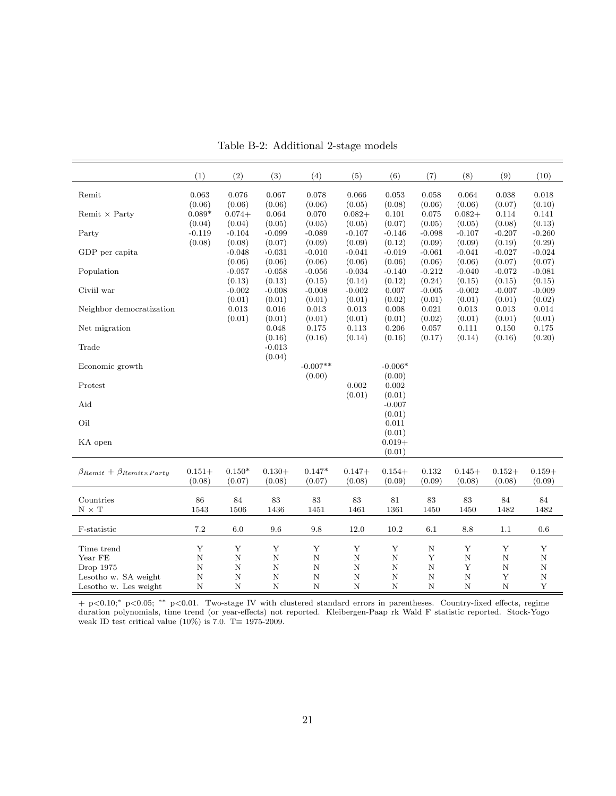|                                              | (1)         | (2)         | (3)              | (4)         | (5)         | (6)         | (7)         | (8)         | (9)                     | (10)        |
|----------------------------------------------|-------------|-------------|------------------|-------------|-------------|-------------|-------------|-------------|-------------------------|-------------|
| Remit                                        | 0.063       | 0.076       | 0.067            | 0.078       | 0.066       | 0.053       | 0.058       | 0.064       | 0.038                   | 0.018       |
|                                              | (0.06)      | (0.06)      | (0.06)           | (0.06)      | (0.05)      | (0.08)      | (0.06)      | (0.06)      | (0.07)                  | (0.10)      |
| Remit $\times$ Party                         | $0.089*$    | $0.074 +$   | 0.064            | 0.070       | $0.082 +$   | 0.101       | 0.075       | $0.082 +$   | 0.114                   | 0.141       |
|                                              | (0.04)      | (0.04)      | (0.05)           | (0.05)      | (0.05)      | (0.07)      | (0.05)      | (0.05)      | (0.08)                  | (0.13)      |
| Party                                        | $-0.119$    | $-0.104$    | $-0.099$         | $-0.089$    | $-0.107$    | $-0.146$    | $-0.098$    | $-0.107$    | $-0.207$                | $-0.260$    |
|                                              | (0.08)      | (0.08)      | (0.07)           | (0.09)      | (0.09)      | (0.12)      | (0.09)      | (0.09)      | (0.19)                  | (0.29)      |
| GDP per capita                               |             | $-0.048$    | $-0.031$         | $-0.010$    | $-0.041$    | $-0.019$    | $-0.061$    | $-0.041$    | $-0.027$                | $-0.024$    |
|                                              |             | (0.06)      | (0.06)           | (0.06)      | (0.06)      | (0.06)      | (0.06)      | (0.06)      | (0.07)                  | (0.07)      |
| Population                                   |             | $-0.057$    | $-0.058$         | $-0.056$    | $-0.034$    | $-0.140$    | $-0.212$    | $-0.040$    | $-0.072$                | $-0.081$    |
|                                              |             | (0.13)      | (0.13)           | (0.15)      | (0.14)      | (0.12)      | (0.24)      | (0.15)      | (0.15)                  | (0.15)      |
| Civiil war                                   |             | $-0.002$    | $-0.008$         | $-0.008$    | $-0.002$    | 0.007       | $-0.005$    | $-0.002$    | $-0.007$                | $-0.009$    |
|                                              |             | (0.01)      | (0.01)           | (0.01)      | (0.01)      | (0.02)      | (0.01)      | (0.01)      | (0.01)                  | (0.02)      |
| Neighbor democratization                     |             | 0.013       | 0.016            | 0.013       | 0.013       | 0.008       | 0.021       | 0.013       | 0.013                   | 0.014       |
|                                              |             | (0.01)      | (0.01)           | (0.01)      | (0.01)      | (0.01)      | (0.02)      | (0.01)      | (0.01)                  | (0.01)      |
| Net migration                                |             |             | 0.048            | 0.175       | 0.113       | 0.206       | 0.057       | 0.111       | 0.150                   | 0.175       |
|                                              |             |             | (0.16)           | (0.16)      | (0.14)      | (0.16)      | (0.17)      | (0.14)      | (0.16)                  | (0.20)      |
| Trade                                        |             |             | $-0.013$         |             |             |             |             |             |                         |             |
|                                              |             |             | (0.04)           |             |             |             |             |             |                         |             |
| Economic growth                              |             |             |                  | $-0.007**$  |             | $-0.006*$   |             |             |                         |             |
|                                              |             |             |                  | (0.00)      |             | (0.00)      |             |             |                         |             |
| Protest                                      |             |             |                  |             | 0.002       | 0.002       |             |             |                         |             |
|                                              |             |             |                  |             | (0.01)      | (0.01)      |             |             |                         |             |
| Aid                                          |             |             |                  |             |             | $-0.007$    |             |             |                         |             |
|                                              |             |             |                  |             |             | (0.01)      |             |             |                         |             |
| Oil                                          |             |             |                  |             |             | 0.011       |             |             |                         |             |
|                                              |             |             |                  |             |             | (0.01)      |             |             |                         |             |
| KA open                                      |             |             |                  |             |             | $0.019+$    |             |             |                         |             |
|                                              |             |             |                  |             |             | (0.01)      |             |             |                         |             |
|                                              |             |             |                  |             |             |             |             |             |                         |             |
| $\beta_{Remit} + \beta_{Remit \times Party}$ | $0.151+$    | $0.150*$    | $0.130+$         | $0.147*$    | $0.147+$    | $0.154+$    | 0.132       | $0.145+$    | $0.152+$                | $0.159+$    |
|                                              | (0.08)      | (0.07)      | (0.08)           | (0.07)      | (0.08)      | (0.09)      | (0.09)      | (0.08)      | (0.08)                  | (0.09)      |
|                                              |             |             |                  |             |             |             |             |             |                         |             |
| Countries                                    | 86          | 84          | 83               | 83          | 83          | 81          | 83          | 83          | 84                      | 84          |
| $N \times T$                                 | 1543        | 1506        | 1436             | 1451        | 1461        | 1361        | 1450        | 1450        | 1482                    | 1482        |
|                                              |             |             |                  |             |             |             |             |             |                         |             |
| F-statistic                                  | $7.2\,$     | 6.0         | 9.6              | 9.8         | 12.0        | 10.2        | 6.1         | 8.8         | 1.1                     | 0.6         |
|                                              | Y           | Y           |                  | Y           | Y           | Y           |             | Y           |                         |             |
| Time trend                                   | $\mathbf N$ |             | Y<br>$\mathbf N$ |             | $\mathbf N$ |             | N<br>Y      |             | Y                       | Y           |
| Year FE                                      | N           | $\mathbf N$ |                  | $\mathbf N$ | $\mathbf N$ | $\mathbf N$ |             | $\mathbf N$ | $\ensuremath{\text{N}}$ | $\mathbf N$ |
| Drop 1975                                    |             | $\mathbf N$ | $\mathbf N$      | $\mathbf N$ |             | $\mathbf N$ | $\mathbf N$ | Y           | $\ensuremath{\text{N}}$ | $\mathbf N$ |
| Lesotho w. SA weight                         | N           | $\mathbf N$ | $\mathbf N$      | $\mathbf N$ | $\mathbf N$ | $\mathbf N$ | N           | $\mathbf N$ | Y                       | $\mathbf N$ |
| Lesotho w. Les weight                        | N           | N           | $\mathbf N$      | N           | N           | N           | N           | $\mathbf N$ | $\mathbf N$             | Y           |

Table B-2: Additional 2-stage models

+ p<0.10;<sup>∗</sup> p<0.05; ∗∗ p<0.01. Two-stage IV with clustered standard errors in parentheses. Country-fixed effects, regime duration polynomials, time trend (or year-effects) not reported. Kleibergen-Paap rk Wald F statistic reported. Stock-Yogo weak ID test critical value (10%) is 7.0. T $\equiv$  1975-2009.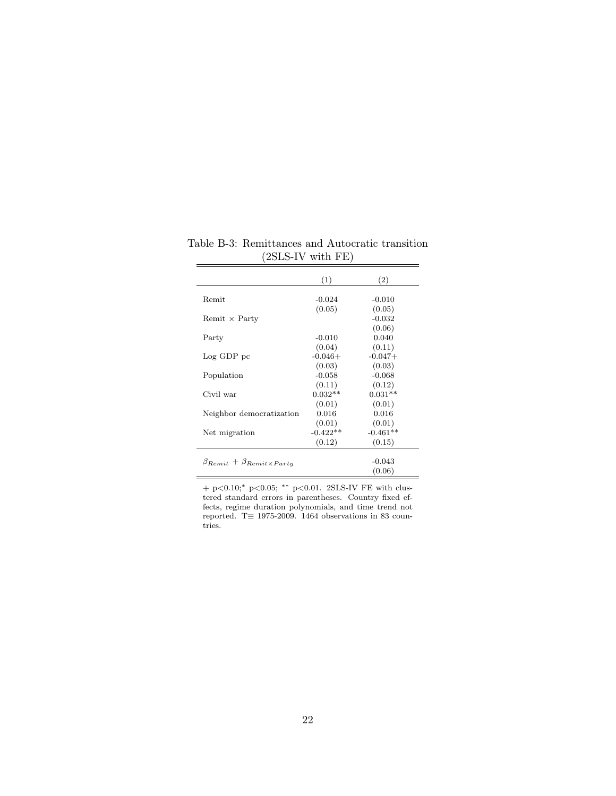|                                              | (1)        | (2)        |
|----------------------------------------------|------------|------------|
|                                              |            |            |
| Remit                                        | $-0.024$   | $-0.010$   |
|                                              | (0.05)     | (0.05)     |
| Remit $\times$ Party                         |            | $-0.032$   |
|                                              |            | (0.06)     |
| Party                                        | $-0.010$   | 0.040      |
|                                              | (0.04)     | (0.11)     |
| Log GDP pc                                   | $-0.046+$  | $-0.047+$  |
|                                              | (0.03)     | (0.03)     |
| Population                                   | $-0.058$   | $-0.068$   |
|                                              | (0.11)     | (0.12)     |
| Civil war                                    | $0.032**$  | $0.031**$  |
|                                              | (0.01)     | (0.01)     |
| Neighbor democratization                     | 0.016      | 0.016      |
|                                              | (0.01)     | (0.01)     |
| Net migration                                | $-0.422**$ | $-0.461**$ |
|                                              | (0.12)     | (0.15)     |
|                                              |            |            |
| $\beta_{Remit} + \beta_{Remit \times Party}$ |            | $-0.043$   |
|                                              |            | (0.06)     |

Table B-3: Remittances and Autocratic transition (2SLS-IV with FE)

+ p<0.10;<sup>∗</sup> p<0.05; ∗∗ p<0.01. 2SLS-IV FE with clustered standard errors in parentheses. Country fixed effects, regime duration polynomials, and time trend not reported. T $\equiv$  1975-2009. 1464 observations in 83 countries.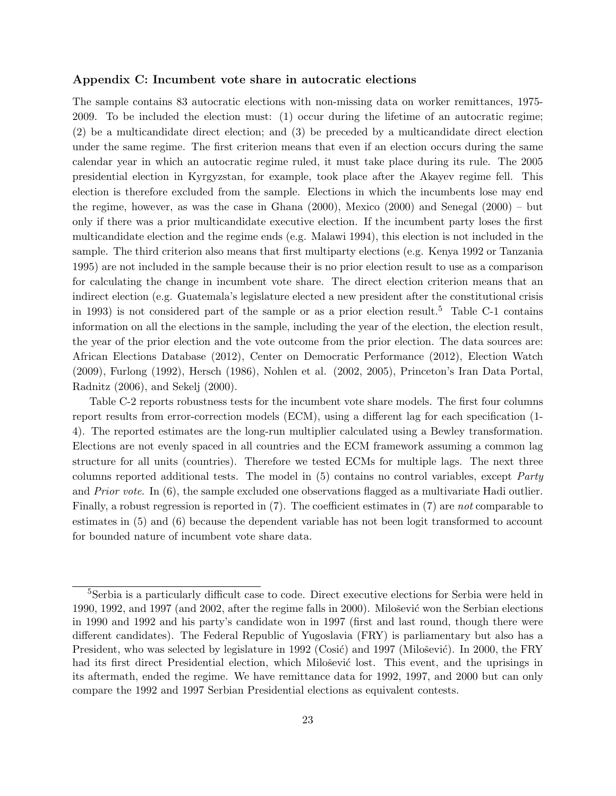## Appendix C: Incumbent vote share in autocratic elections

The sample contains 83 autocratic elections with non-missing data on worker remittances, 1975- 2009. To be included the election must: (1) occur during the lifetime of an autocratic regime; (2) be a multicandidate direct election; and (3) be preceded by a multicandidate direct election under the same regime. The first criterion means that even if an election occurs during the same calendar year in which an autocratic regime ruled, it must take place during its rule. The 2005 presidential election in Kyrgyzstan, for example, took place after the Akayev regime fell. This election is therefore excluded from the sample. Elections in which the incumbents lose may end the regime, however, as was the case in Ghana (2000), Mexico (2000) and Senegal (2000) – but only if there was a prior multicandidate executive election. If the incumbent party loses the first multicandidate election and the regime ends (e.g. Malawi 1994), this election is not included in the sample. The third criterion also means that first multiparty elections (e.g. Kenya 1992 or Tanzania 1995) are not included in the sample because their is no prior election result to use as a comparison for calculating the change in incumbent vote share. The direct election criterion means that an indirect election (e.g. Guatemala's legislature elected a new president after the constitutional crisis in 1993) is not considered part of the sample or as a prior election result.<sup>[5](#page-23-0)</sup> Table C-1 contains information on all the elections in the sample, including the year of the election, the election result, the year of the prior election and the vote outcome from the prior election. The data sources are: African Elections Database (2012), Center on Democratic Performance (2012), Election Watch (2009), Furlong (1992), Hersch (1986), Nohlen et al. (2002, 2005), [Princeton's Iran Data Portal,](http://www.princeton.edu/irandataportal/) Radnitz (2006), and Sekelj (2000).

Table C-2 reports robustness tests for the incumbent vote share models. The first four columns report results from error-correction models (ECM), using a different lag for each specification (1- 4). The reported estimates are the long-run multiplier calculated using a Bewley transformation. Elections are not evenly spaced in all countries and the ECM framework assuming a common lag structure for all units (countries). Therefore we tested ECMs for multiple lags. The next three columns reported additional tests. The model in (5) contains no control variables, except Party and *Prior vote.* In (6), the sample excluded one observations flagged as a multivariate Hadi outlier. Finally, a robust regression is reported in (7). The coefficient estimates in (7) are not comparable to estimates in (5) and (6) because the dependent variable has not been logit transformed to account for bounded nature of incumbent vote share data.

<span id="page-23-0"></span><sup>5</sup>Serbia is a particularly difficult case to code. Direct executive elections for Serbia were held in 1990, 1992, and 1997 (and 2002, after the regime falls in 2000). Milošević won the Serbian elections in 1990 and 1992 and his party's candidate won in 1997 (first and last round, though there were different candidates). The Federal Republic of Yugoslavia (FRY) is parliamentary but also has a President, who was selected by legislature in 1992 (Cosić) and 1997 (Milošević). In 2000, the FRY had its first direct Presidential election, which Milošević lost. This event, and the uprisings in its aftermath, ended the regime. We have remittance data for 1992, 1997, and 2000 but can only compare the 1992 and 1997 Serbian Presidential elections as equivalent contests.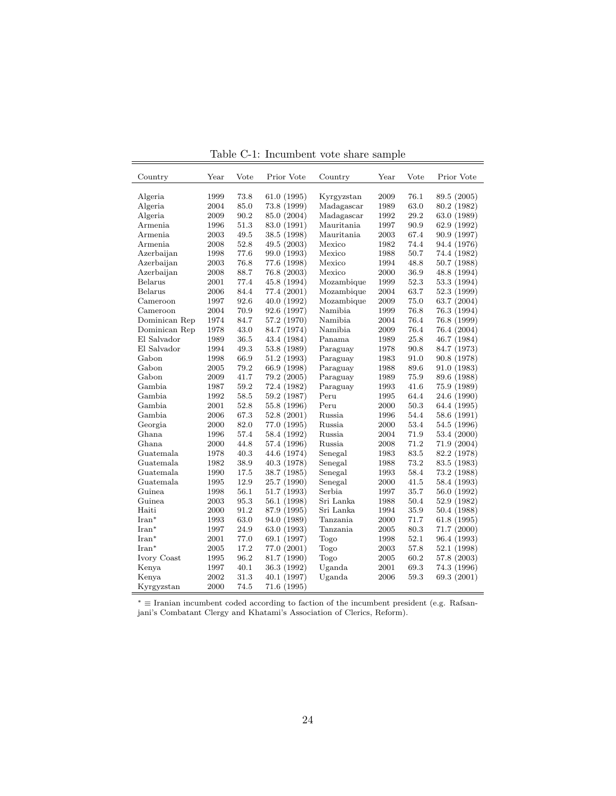| Country            | $\operatorname{Year}$ | Vote | Prior Vote  | Country    | Year | Vote         | Prior Vote  |
|--------------------|-----------------------|------|-------------|------------|------|--------------|-------------|
|                    |                       |      |             |            |      |              |             |
| Algeria            | 1999                  | 73.8 | 61.0(1995)  | Kyrgyzstan | 2009 | 76.1<br>63.0 | 89.5 (2005) |
| Algeria<br>Algeria | 2004                  | 85.0 | 73.8 (1999) | Madagascar | 1989 | 29.2         | 80.2 (1982) |
|                    | 2009                  | 90.2 | 85.0 (2004) | Madagascar | 1992 |              | 63.0 (1989) |
| Armenia            | 1996                  | 51.3 | 83.0 (1991) | Mauritania | 1997 | 90.9         | 62.9 (1992) |
| Armenia            | 2003                  | 49.5 | 38.5 (1998) | Mauritania | 2003 | 67.4         | 90.9 (1997) |
| Armenia            | 2008                  | 52.8 | 49.5 (2003) | Mexico     | 1982 | 74.4         | 94.4 (1976) |
| Azerbaijan         | 1998                  | 77.6 | 99.0 (1993) | Mexico     | 1988 | 50.7         | 74.4 (1982) |
| Azerbaijan         | 2003                  | 76.8 | 77.6 (1998) | Mexico     | 1994 | 48.8         | 50.7 (1988) |
| Azerbaijan         | 2008                  | 88.7 | 76.8 (2003) | Mexico     | 2000 | 36.9         | 48.8 (1994) |
| Belarus            | 2001                  | 77.4 | 45.8 (1994) | Mozambique | 1999 | 52.3         | 53.3 (1994) |
| Belarus            | 2006                  | 84.4 | 77.4 (2001) | Mozambique | 2004 | 63.7         | 52.3 (1999) |
| Cameroon           | 1997                  | 92.6 | 40.0 (1992) | Mozambique | 2009 | 75.0         | 63.7 (2004) |
| Cameroon           | 2004                  | 70.9 | 92.6 (1997) | Namibia    | 1999 | 76.8         | 76.3 (1994) |
| Dominican Rep      | 1974                  | 84.7 | 57.2 (1970) | Namibia    | 2004 | 76.4         | 76.8 (1999) |
| Dominican Rep      | 1978                  | 43.0 | 84.7 (1974) | Namibia    | 2009 | 76.4         | 76.4 (2004) |
| El Salvador        | 1989                  | 36.5 | 43.4 (1984) | Panama     | 1989 | 25.8         | 46.7 (1984) |
| El Salvador        | 1994                  | 49.3 | 53.8 (1989) | Paraguay   | 1978 | 90.8         | 84.7 (1973) |
| Gabon              | 1998                  | 66.9 | 51.2 (1993) | Paraguay   | 1983 | 91.0         | 90.8 (1978) |
| Gabon              | 2005                  | 79.2 | 66.9 (1998) | Paraguay   | 1988 | 89.6         | 91.0 (1983) |
| Gabon              | 2009                  | 41.7 | 79.2 (2005) | Paraguay   | 1989 | 75.9         | 89.6 (1988) |
| Gambia             | 1987                  | 59.2 | 72.4 (1982) | Paraguay   | 1993 | 41.6         | 75.9 (1989) |
| Gambia             | 1992                  | 58.5 | 59.2 (1987) | Peru       | 1995 | 64.4         | 24.6 (1990) |
| Gambia             | 2001                  | 52.8 | 55.8 (1996) | Peru       | 2000 | 50.3         | 64.4 (1995) |
| Gambia             | 2006                  | 67.3 | 52.8 (2001) | Russia     | 1996 | 54.4         | 58.6 (1991) |
| Georgia            | 2000                  | 82.0 | 77.0 (1995) | Russia     | 2000 | 53.4         | 54.5 (1996) |
| Ghana              | 1996                  | 57.4 | 58.4 (1992) | Russia     | 2004 | 71.9         | 53.4 (2000) |
| Ghana.             | 2000                  | 44.8 | 57.4 (1996) | Russia     | 2008 | 71.2         | 71.9(2004)  |
| Guatemala          | 1978                  | 40.3 | 44.6 (1974) | Senegal    | 1983 | 83.5         | 82.2 (1978) |
| Guatemala          | 1982                  | 38.9 | 40.3 (1978) | Senegal    | 1988 | 73.2         | 83.5 (1983) |
| Guatemala          | 1990                  | 17.5 | 38.7 (1985) | Senegal    | 1993 | 58.4         | 73.2 (1988) |
| Guatemala          | 1995                  | 12.9 | 25.7 (1990) | Senegal    | 2000 | 41.5         | 58.4 (1993) |
| Guinea             | 1998                  | 56.1 | 51.7(1993)  | Serbia     | 1997 | 35.7         | 56.0 (1992) |
| Guinea             | 2003                  | 95.3 | 56.1 (1998) | Sri Lanka  | 1988 | 50.4         | 52.9 (1982) |
| Haiti              | 2000                  | 91.2 | 87.9 (1995) | Sri Lanka  | 1994 | 35.9         | 50.4 (1988) |
| $Iran*$            | 1993                  | 63.0 | 94.0 (1989) | Tanzania   | 2000 | 71.7         | 61.8 (1995) |
| $Iran*$            | 1997                  | 24.9 | 63.0 (1993) | Tanzania   | 2005 | 80.3         | 71.7 (2000) |
| $Iran*$            | 2001                  | 77.0 | 69.1 (1997) | Togo       | 1998 | 52.1         | 96.4 (1993) |
| $Iran*$            | 2005                  | 17.2 | 77.0 (2001) | Togo       | 2003 | 57.8         | 52.1 (1998) |
| Ivory Coast        | 1995                  | 96.2 | 81.7 (1990) | Togo       | 2005 | 60.2         | 57.8 (2003) |
| Kenya              | 1997                  | 40.1 | 36.3 (1992) | Uganda     | 2001 | 69.3         | 74.3 (1996) |
| Kenya              | 2002                  | 31.3 | 40.1 (1997) | Uganda     | 2006 | ${59.3}$     | 69.3 (2001) |
| Kyrgyzstan         | 2000                  | 74.5 | 71.6 (1995) |            |      |              |             |

Table C-1: Incumbent vote share sample

L.

<sup>∗</sup> ≡ Iranian incumbent coded according to faction of the incumbent president (e.g. Rafsanjani's Combatant Clergy and Khatami's Association of Clerics, Reform).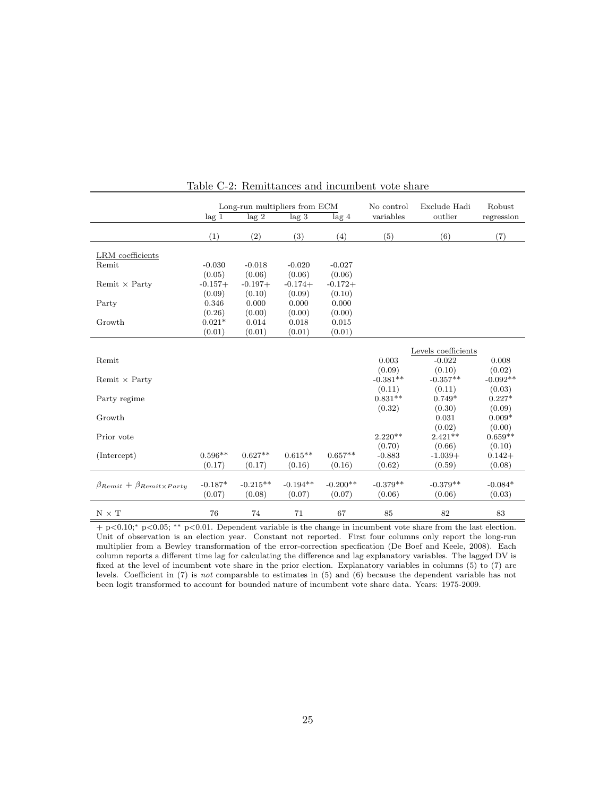|                                              | Long-run multipliers from ECM |            |                  | No control       | Exclude Hadi | Robust              |            |
|----------------------------------------------|-------------------------------|------------|------------------|------------------|--------------|---------------------|------------|
|                                              | lag <sub>1</sub>              | $\log 2$   | lag <sub>3</sub> | lag <sub>4</sub> | variables    | outlier             | regression |
|                                              | (1)                           | (2)        | (3)              | (4)              | (5)          | (6)                 | (7)        |
| LRM coefficients                             |                               |            |                  |                  |              |                     |            |
| Remit                                        | $-0.030$                      | $-0.018$   | $-0.020$         | $-0.027$         |              |                     |            |
|                                              | (0.05)                        | (0.06)     | (0.06)           | (0.06)           |              |                     |            |
| Remit $\times$ Party                         | $-0.157+$                     | $-0.197+$  | $-0.174+$        | $-0.172+$        |              |                     |            |
|                                              | (0.09)                        | (0.10)     | (0.09)           | (0.10)           |              |                     |            |
| Party                                        | 0.346                         | 0.000      | 0.000            | 0.000            |              |                     |            |
|                                              | (0.26)                        | (0.00)     | (0.00)           | (0.00)           |              |                     |            |
| Growth                                       | $0.021*$                      | 0.014      | 0.018            | 0.015            |              |                     |            |
|                                              | (0.01)                        | (0.01)     | (0.01)           | (0.01)           |              |                     |            |
|                                              |                               |            |                  |                  |              |                     |            |
|                                              |                               |            |                  |                  |              | Levels coefficients |            |
| Remit                                        |                               |            |                  |                  | 0.003        | $-0.022$            | 0.008      |
|                                              |                               |            |                  |                  | (0.09)       | (0.10)              | (0.02)     |
| Remit $\times$ Party                         |                               |            |                  |                  | $-0.381**$   | $-0.357**$          | $-0.092**$ |
|                                              |                               |            |                  |                  | (0.11)       | (0.11)              | (0.03)     |
| Party regime                                 |                               |            |                  |                  | $0.831**$    | $0.749*$            | $0.227*$   |
|                                              |                               |            |                  |                  | (0.32)       | (0.30)              | (0.09)     |
| Growth                                       |                               |            |                  |                  |              | 0.031               | $0.009*$   |
|                                              |                               |            |                  |                  |              | (0.02)              | (0.00)     |
| Prior vote                                   |                               |            |                  |                  | $2.220**$    | $2.421**$           | $0.659**$  |
|                                              |                               |            |                  |                  | (0.70)       | (0.66)              | (0.10)     |
| (Intercept)                                  | $0.596**$                     | $0.627**$  | $0.615**$        | $0.657**$        | $-0.883$     | $-1.039+$           | $0.142+$   |
|                                              | (0.17)                        | (0.17)     | (0.16)           | (0.16)           | (0.62)       | (0.59)              | (0.08)     |
|                                              |                               |            |                  |                  |              |                     |            |
| $\beta_{Remit} + \beta_{Remit \times Partu}$ | $-0.187*$                     | $-0.215**$ | $-0.194**$       | $-0.200**$       | $-0.379**$   | $-0.379**$          | $-0.084*$  |
|                                              | (0.07)                        | (0.08)     | (0.07)           | (0.07)           | (0.06)       | (0.06)              | (0.03)     |
|                                              |                               |            |                  |                  |              |                     |            |
| $N$ $\times$ $T$                             | 76                            | 74         | 71               | 67               | 85           | 82                  | 83         |

|--|

+ p<0.10;<sup>∗</sup> p<0.05; ∗∗ p<0.01. Dependent variable is the change in incumbent vote share from the last election. Unit of observation is an election year. Constant not reported. First four columns only report the long-run multiplier from a Bewley transformation of the error-correction specfication (De Boef and Keele, 2008). Each column reports a different time lag for calculating the difference and lag explanatory variables. The lagged DV is fixed at the level of incumbent vote share in the prior election. Explanatory variables in columns (5) to (7) are levels. Coefficient in (7) is not comparable to estimates in (5) and (6) because the dependent variable has not been logit transformed to account for bounded nature of incumbent vote share data. Years: 1975-2009.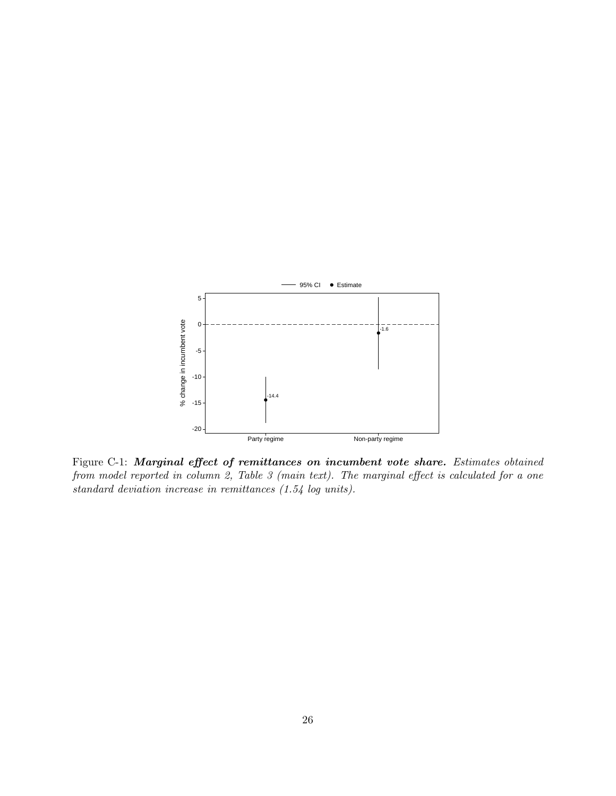

Figure C-1: Marginal effect of remittances on incumbent vote share. Estimates obtained from model reported in column 2, Table 3 (main text). The marginal effect is calculated for a one standard deviation increase in remittances (1.54 log units).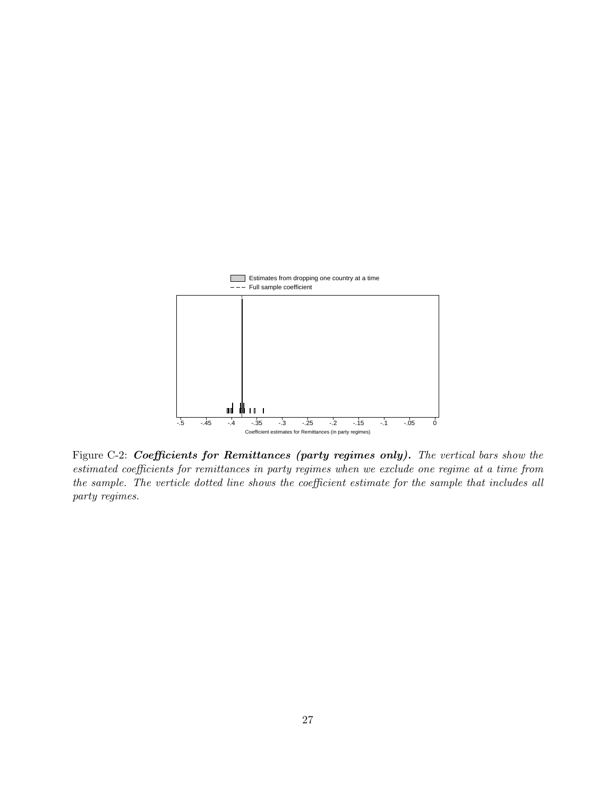

Figure C-2: Coefficients for Remittances (party regimes only). The vertical bars show the estimated coefficients for remittances in party regimes when we exclude one regime at a time from the sample. The verticle dotted line shows the coefficient estimate for the sample that includes all party regimes.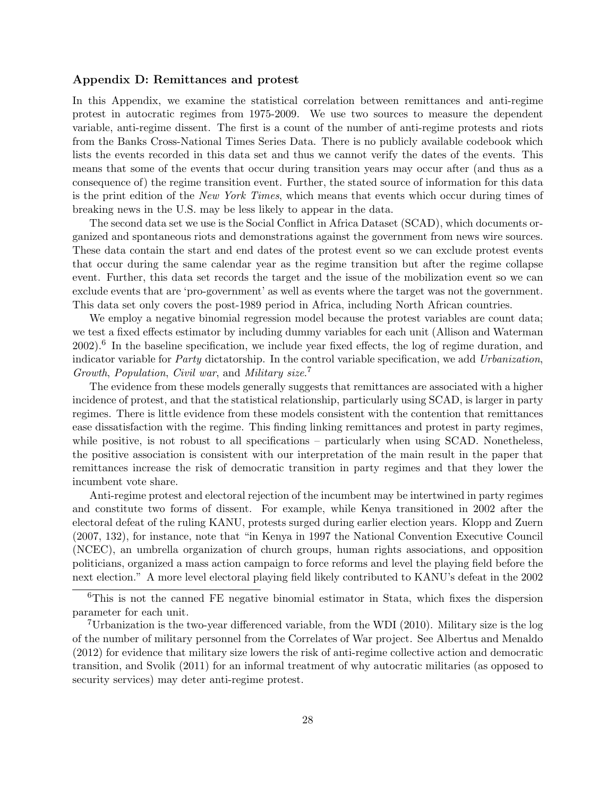## Appendix D: Remittances and protest

In this Appendix, we examine the statistical correlation between remittances and anti-regime protest in autocratic regimes from 1975-2009. We use two sources to measure the dependent variable, anti-regime dissent. The first is a count of the number of anti-regime protests and riots from the Banks Cross-National Times Series Data. There is no publicly available codebook which lists the events recorded in this data set and thus we cannot verify the dates of the events. This means that some of the events that occur during transition years may occur after (and thus as a consequence of) the regime transition event. Further, the stated source of information for this data is the print edition of the New York Times, which means that events which occur during times of breaking news in the U.S. may be less likely to appear in the data.

The second data set we use is the Social Conflict in Africa Dataset (SCAD), which documents organized and spontaneous riots and demonstrations against the government from news wire sources. These data contain the start and end dates of the protest event so we can exclude protest events that occur during the same calendar year as the regime transition but after the regime collapse event. Further, this data set records the target and the issue of the mobilization event so we can exclude events that are 'pro-government' as well as events where the target was not the government. This data set only covers the post-1989 period in Africa, including North African countries.

We employ a negative binomial regression model because the protest variables are count data; we test a fixed effects estimator by including dummy variables for each unit [\(Allison and Waterman](#page-32-5) [2002\)](#page-32-5).<sup>[6](#page-28-0)</sup> In the baseline specification, we include year fixed effects, the log of regime duration, and indicator variable for Party dictatorship. In the control variable specification, we add Urbanization, Growth, Population, Civil war, and Military size. [7](#page-28-1)

The evidence from these models generally suggests that remittances are associated with a higher incidence of protest, and that the statistical relationship, particularly using SCAD, is larger in party regimes. There is little evidence from these models consistent with the contention that remittances ease dissatisfaction with the regime. This finding linking remittances and protest in party regimes, while positive, is not robust to all specifications – particularly when using SCAD. Nonetheless, the positive association is consistent with our interpretation of the main result in the paper that remittances increase the risk of democratic transition in party regimes and that they lower the incumbent vote share.

Anti-regime protest and electoral rejection of the incumbent may be intertwined in party regimes and constitute two forms of dissent. For example, while Kenya transitioned in 2002 after the electoral defeat of the ruling KANU, protests surged during earlier election years. [Klopp and Zuern](#page-32-6) [\(2007,](#page-32-6) 132), for instance, note that "in Kenya in 1997 the National Convention Executive Council (NCEC), an umbrella organization of church groups, human rights associations, and opposition politicians, organized a mass action campaign to force reforms and level the playing field before the next election." A more level electoral playing field likely contributed to KANU's defeat in the 2002

<span id="page-28-0"></span><sup>6</sup>This is not the canned FE negative binomial estimator in Stata, which fixes the dispersion parameter for each unit.

<span id="page-28-1"></span><sup>7</sup>Urbanization is the two-year differenced variable, from the WDI (2010). Military size is the log of the number of military personnel from the Correlates of War project. See [Albertus and Menaldo](#page-32-7) [\(2012\)](#page-32-7) for evidence that military size lowers the risk of anti-regime collective action and democratic transition, and [Svolik](#page-33-3) [\(2011\)](#page-33-3) for an informal treatment of why autocratic militaries (as opposed to security services) may deter anti-regime protest.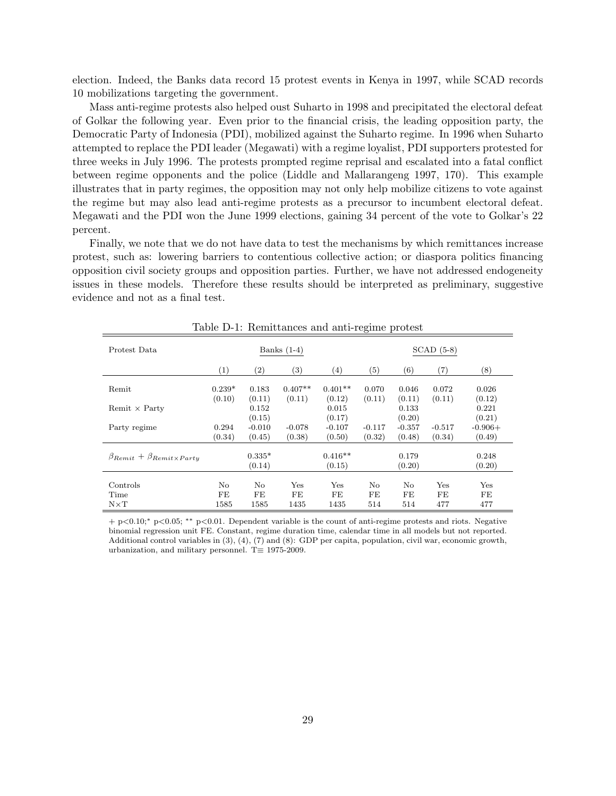election. Indeed, the Banks data record 15 protest events in Kenya in 1997, while SCAD records 10 mobilizations targeting the government.

Mass anti-regime protests also helped oust Suharto in 1998 and precipitated the electoral defeat of Golkar the following year. Even prior to the financial crisis, the leading opposition party, the Democratic Party of Indonesia (PDI), mobilized against the Suharto regime. In 1996 when Suharto attempted to replace the PDI leader (Megawati) with a regime loyalist, PDI supporters protested for three weeks in July 1996. The protests prompted regime reprisal and escalated into a fatal conflict between regime opponents and the police [\(Liddle and Mallarangeng 1997,](#page-33-4) 170). This example illustrates that in party regimes, the opposition may not only help mobilize citizens to vote against the regime but may also lead anti-regime protests as a precursor to incumbent electoral defeat. Megawati and the PDI won the June 1999 elections, gaining 34 percent of the vote to Golkar's 22 percent.

Finally, we note that we do not have data to test the mechanisms by which remittances increase protest, such as: lowering barriers to contentious collective action; or diaspora politics financing opposition civil society groups and opposition parties. Further, we have not addressed endogeneity issues in these models. Therefore these results should be interpreted as preliminary, suggestive evidence and not as a final test.

|                                              |                    |                        |                     |                     | $\circ$            |                    |                    |                     |  |
|----------------------------------------------|--------------------|------------------------|---------------------|---------------------|--------------------|--------------------|--------------------|---------------------|--|
| Protest Data                                 | Banks $(1-4)$      |                        |                     |                     |                    | $SCAD$ (5-8)       |                    |                     |  |
|                                              | (1)                | $\left( 2\right)$      | (3)                 | (4)                 | (5)                | (6)                | (7)                | (8)                 |  |
| Remit                                        | $0.239*$<br>(0.10) | 0.183<br>(0.11)        | $0.407**$<br>(0.11) | $0.401**$<br>(0.12) | 0.070<br>(0.11)    | 0.046<br>(0.11)    | 0.072<br>(0.11)    | 0.026<br>(0.12)     |  |
| Remit $\times$ Party                         |                    | 0.152<br>(0.15)        |                     | 0.015<br>(0.17)     |                    | 0.133<br>(0.20)    |                    | 0.221<br>(0.21)     |  |
| Party regime                                 | 0.294<br>(0.34)    | $-0.010$<br>(0.45)     | $-0.078$<br>(0.38)  | $-0.107$<br>(0.50)  | $-0.117$<br>(0.32) | $-0.357$<br>(0.48) | $-0.517$<br>(0.34) | $-0.906+$<br>(0.49) |  |
| $\beta_{Remit} + \beta_{Remit \times Partu}$ |                    | $0.335*$<br>(0.14)     |                     | $0.416**$<br>(0.15) |                    | 0.179<br>(0.20)    |                    | 0.248<br>(0.20)     |  |
| Controls<br>Time<br>$N \times T$             | No<br>FE<br>1585   | $\rm No$<br>FE<br>1585 | Yes<br>FE<br>1435   | Yes<br>FE<br>1435   | No<br>FE<br>514    | No<br>FE<br>514    | Yes<br>FE<br>477   | Yes<br>FE<br>477    |  |

Table D-1: Remittances and anti-regime protest

+ p<0.10;<sup>∗</sup> p<0.05; ∗∗ p<0.01. Dependent variable is the count of anti-regime protests and riots. Negative binomial regression unit FE. Constant, regime duration time, calendar time in all models but not reported. Additional control variables in (3), (4), (7) and (8): GDP per capita, population, civil war, economic growth, urbanization, and military personnel. T $\equiv$  1975-2009.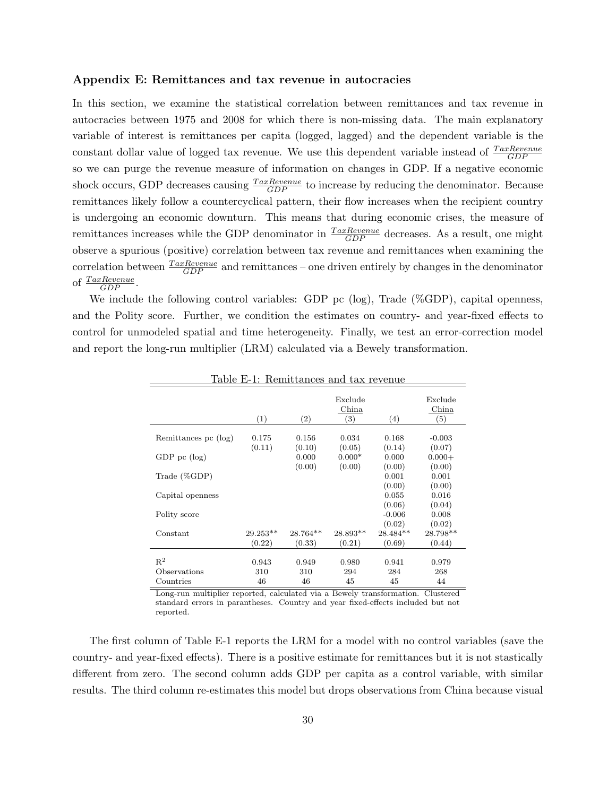### Appendix E: Remittances and tax revenue in autocracies

In this section, we examine the statistical correlation between remittances and tax revenue in autocracies between 1975 and 2008 for which there is non-missing data. The main explanatory variable of interest is remittances per capita (logged, lagged) and the dependent variable is the constant dollar value of logged tax revenue. We use this dependent variable instead of  $\frac{Tax Revenue}{GDP}$ so we can purge the revenue measure of information on changes in GDP. If a negative economic shock occurs, GDP decreases causing  $\frac{Tax Revenue}{GDP}$  to increase by reducing the denominator. Because remittances likely follow a countercyclical pattern, their flow increases when the recipient country is undergoing an economic downturn. This means that during economic crises, the measure of remittances increases while the GDP denominator in  $\frac{Takevenue}{GDP}$  decreases. As a result, one might observe a spurious (positive) correlation between tax revenue and remittances when examining the correlation between  $\frac{Tax Revenue}{GDP}$  and remittances – one driven entirely by changes in the denominator of  $\frac{Tax Revenue}{GDP}$ .

We include the following control variables: GDP pc (log), Trade (%GDP), capital openness, and the Polity score. Further, we condition the estimates on country- and year-fixed effects to control for unmodeled spatial and time heterogeneity. Finally, we test an error-correction model and report the long-run multiplier (LRM) calculated via a Bewely transformation.

|                       |                 |                 | Exclude<br>China  |                           | Exclude<br>China          |
|-----------------------|-----------------|-----------------|-------------------|---------------------------|---------------------------|
|                       | (1)             | (2)             | $\left( 3\right)$ | (4)                       | (5)                       |
| Remittances pc (log)  | 0.175<br>(0.11) | 0.156<br>(0.10) | 0.034<br>(0.05)   | 0.168<br>(0.14)           | $-0.003$<br>(0.07)        |
| $GDP$ pc $(log)$      |                 | 0.000           | $0.000*$          | 0.000                     | $0.000+$                  |
| Trade $(\%GDP)$       |                 | (0.00)          | (0.00)            | (0.00)<br>0.001           | (0.00)<br>0.001           |
| Capital openness      |                 |                 |                   | (0.00)<br>0.055<br>(0.06) | (0.00)<br>0.016<br>(0.04) |
| Polity score          |                 |                 |                   | $-0.006$<br>(0.02)        | 0.008<br>(0.02)           |
| Constant              | 29.253**        | 28.764**        | 28.893**          | $28.484**$                | 28.798**                  |
|                       | (0.22)          | (0.33)          | (0.21)            | (0.69)                    | (0.44)                    |
| $R^2$<br>Observations | 0.943<br>310    | 0.949<br>310    | 0.980<br>294      | 0.941<br>284              | 0.979<br>268              |
| Countries             | 46              | 46              | 45                | 45                        | 44                        |

Table E-1: Remittances and tax revenue

Long-run multiplier reported, calculated via a Bewely transformation. Clustered standard errors in parantheses. Country and year fixed-effects included but not reported.

The first column of Table E-1 reports the LRM for a model with no control variables (save the country- and year-fixed effects). There is a positive estimate for remittances but it is not stastically different from zero. The second column adds GDP per capita as a control variable, with similar results. The third column re-estimates this model but drops observations from China because visual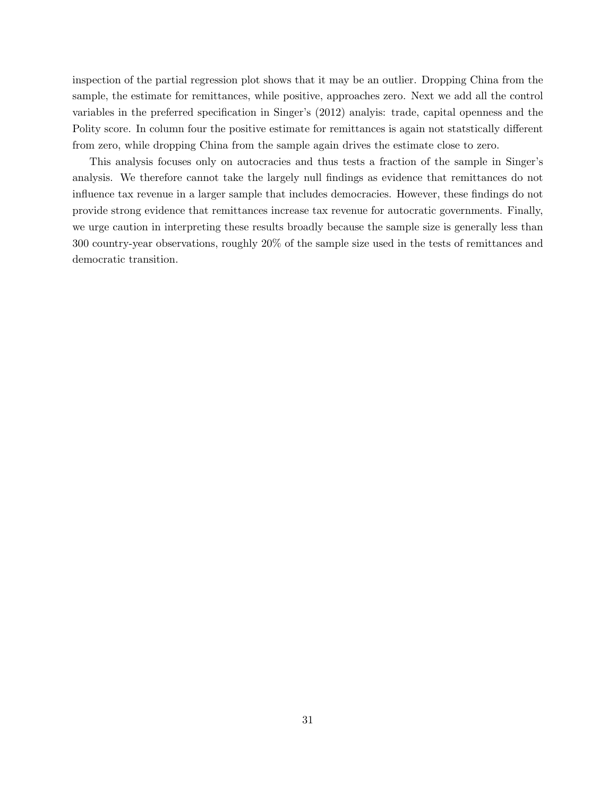inspection of the partial regression plot shows that it may be an outlier. Dropping China from the sample, the estimate for remittances, while positive, approaches zero. Next we add all the control variables in the preferred specification in Singer's (2012) analyis: trade, capital openness and the Polity score. In column four the positive estimate for remittances is again not statstically different from zero, while dropping China from the sample again drives the estimate close to zero.

This analysis focuses only on autocracies and thus tests a fraction of the sample in Singer's analysis. We therefore cannot take the largely null findings as evidence that remittances do not influence tax revenue in a larger sample that includes democracies. However, these findings do not provide strong evidence that remittances increase tax revenue for autocratic governments. Finally, we urge caution in interpreting these results broadly because the sample size is generally less than 300 country-year observations, roughly 20% of the sample size used in the tests of remittances and democratic transition.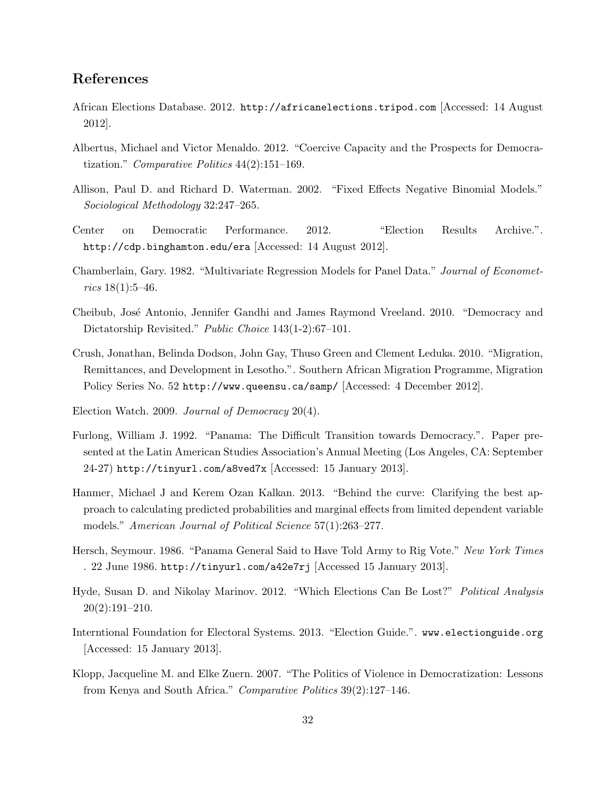## References

- African Elections Database. 2012. http://africanelections.tripod.com [Accessed: 14 August 2012].
- <span id="page-32-7"></span>Albertus, Michael and Victor Menaldo. 2012. "Coercive Capacity and the Prospects for Democratization." Comparative Politics 44(2):151–169.
- <span id="page-32-5"></span>Allison, Paul D. and Richard D. Waterman. 2002. "Fixed Effects Negative Binomial Models." Sociological Methodology 32:247–265.
- Center on Democratic Performance. 2012. "Election Results Archive.". http://cdp.binghamton.edu/era [Accessed: 14 August 2012].
- <span id="page-32-0"></span>Chamberlain, Gary. 1982. "Multivariate Regression Models for Panel Data." Journal of Economet $rics 18(1):5-46.$
- <span id="page-32-1"></span>Cheibub, Jos´e Antonio, Jennifer Gandhi and James Raymond Vreeland. 2010. "Democracy and Dictatorship Revisited." *Public Choice* 143(1-2):67–101.
- <span id="page-32-4"></span>Crush, Jonathan, Belinda Dodson, John Gay, Thuso Green and Clement Leduka. 2010. "Migration, Remittances, and Development in Lesotho.". Southern African Migration Programme, Migration Policy Series No. 52 http://www.queensu.ca/samp/ [Accessed: 4 December 2012].
- Election Watch. 2009. Journal of Democracy 20(4).
- Furlong, William J. 1992. "Panama: The Difficult Transition towards Democracy.". Paper presented at the Latin American Studies Association's Annual Meeting (Los Angeles, CA: September 24-27) http://tinyurl.com/a8ved7x [Accessed: 15 January 2013].
- <span id="page-32-2"></span>Hanmer, Michael J and Kerem Ozan Kalkan. 2013. "Behind the curve: Clarifying the best approach to calculating predicted probabilities and marginal effects from limited dependent variable models." American Journal of Political Science 57(1):263-277.
- Hersch, Seymour. 1986. "Panama General Said to Have Told Army to Rig Vote." New York Times . 22 June 1986. http://tinyurl.com/a42e7rj [Accessed 15 January 2013].
- <span id="page-32-3"></span>Hyde, Susan D. and Nikolay Marinov. 2012. "Which Elections Can Be Lost?" Political Analysis 20(2):191–210.
- Interntional Foundation for Electoral Systems. 2013. "Election Guide.". www.electionguide.org [Accessed: 15 January 2013].
- <span id="page-32-6"></span>Klopp, Jacqueline M. and Elke Zuern. 2007. "The Politics of Violence in Democratization: Lessons from Kenya and South Africa." Comparative Politics 39(2):127–146.